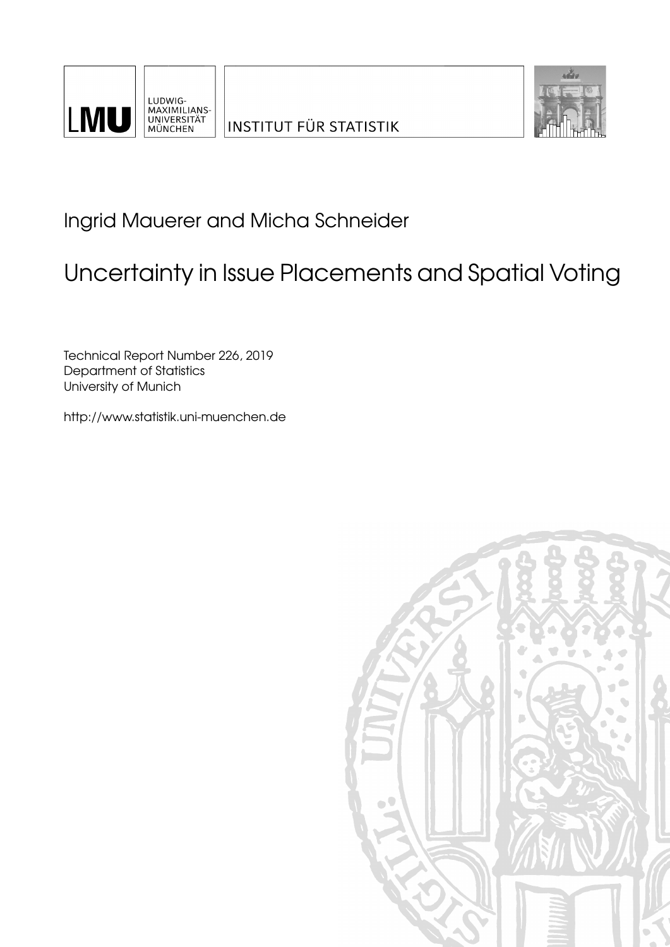



Ingrid Mauerer and Micha Schneider

# Uncertainty in Issue Placements and Spatial Voting

Technical Report Number 226, 2019 Department of Statistics University of Munich

[http://www.statistik.uni-muenchen.de](http://www.statistik.uni-muenchen.de/)

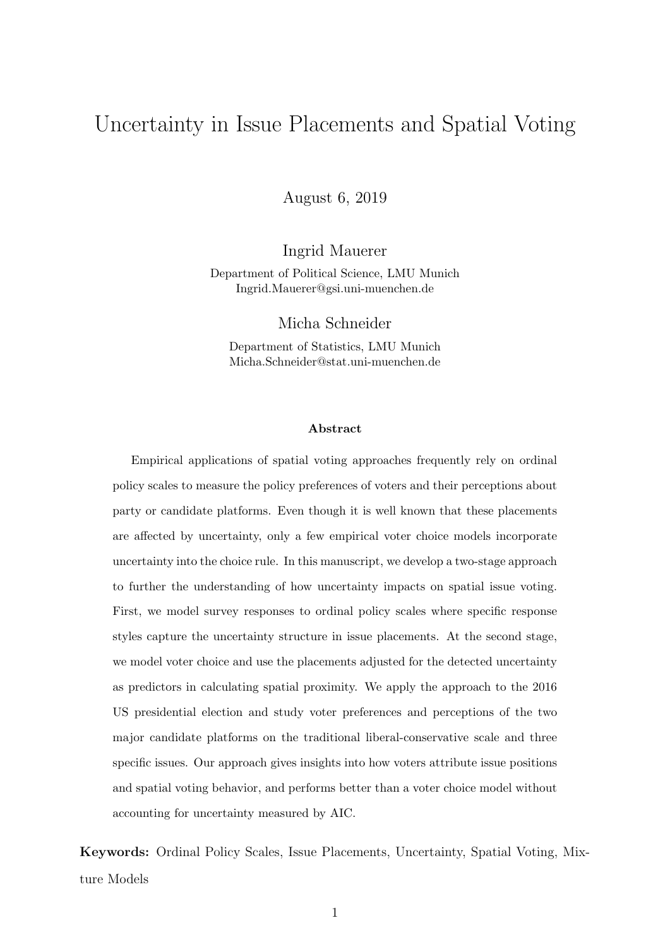## Uncertainty in Issue Placements and Spatial Voting

August 6, 2019

Ingrid Mauerer

Department of Political Science, LMU Munich Ingrid.Mauerer@gsi.uni-muenchen.de

Micha Schneider

Department of Statistics, LMU Munich Micha.Schneider@stat.uni-muenchen.de

#### Abstract

Empirical applications of spatial voting approaches frequently rely on ordinal policy scales to measure the policy preferences of voters and their perceptions about party or candidate platforms. Even though it is well known that these placements are affected by uncertainty, only a few empirical voter choice models incorporate uncertainty into the choice rule. In this manuscript, we develop a two-stage approach to further the understanding of how uncertainty impacts on spatial issue voting. First, we model survey responses to ordinal policy scales where specific response styles capture the uncertainty structure in issue placements. At the second stage, we model voter choice and use the placements adjusted for the detected uncertainty as predictors in calculating spatial proximity. We apply the approach to the 2016 US presidential election and study voter preferences and perceptions of the two major candidate platforms on the traditional liberal-conservative scale and three specific issues. Our approach gives insights into how voters attribute issue positions and spatial voting behavior, and performs better than a voter choice model without accounting for uncertainty measured by AIC.

Keywords: Ordinal Policy Scales, Issue Placements, Uncertainty, Spatial Voting, Mixture Models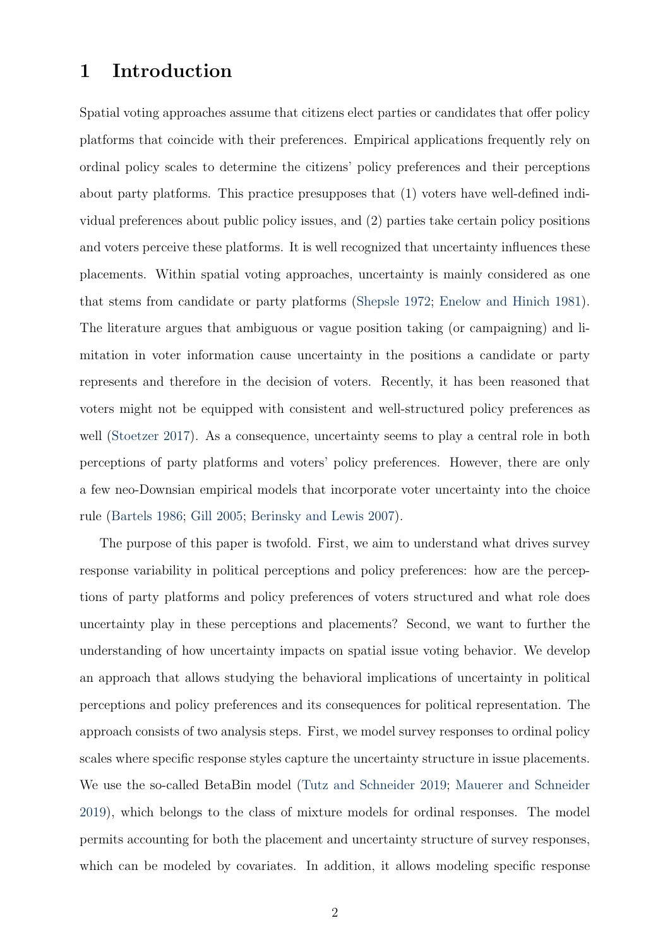## 1 Introduction

Spatial voting approaches assume that citizens elect parties or candidates that offer policy platforms that coincide with their preferences. Empirical applications frequently rely on ordinal policy scales to determine the citizens' policy preferences and their perceptions about party platforms. This practice presupposes that (1) voters have well-defined individual preferences about public policy issues, and (2) parties take certain policy positions and voters perceive these platforms. It is well recognized that uncertainty influences these placements. Within spatial voting approaches, uncertainty is mainly considered as one that stems from candidate or party platforms (Shepsle 1972; Enelow and Hinich 1981). The literature argues that ambiguous or vague position taking (or campaigning) and limitation in voter information cause uncertainty in the positions a candidate or party represents and therefore in the decision of voters. Recently, it has been reasoned that voters might not be equipped with consistent and well-structured policy preferences as well (Stoetzer 2017). As a consequence, uncertainty seems to play a central role in both perceptions of party platforms and voters' policy preferences. However, there are only a few neo-Downsian empirical models that incorporate voter uncertainty into the choice rule (Bartels 1986; Gill 2005; Berinsky and Lewis 2007).

The purpose of this paper is twofold. First, we aim to understand what drives survey response variability in political perceptions and policy preferences: how are the perceptions of party platforms and policy preferences of voters structured and what role does uncertainty play in these perceptions and placements? Second, we want to further the understanding of how uncertainty impacts on spatial issue voting behavior. We develop an approach that allows studying the behavioral implications of uncertainty in political perceptions and policy preferences and its consequences for political representation. The approach consists of two analysis steps. First, we model survey responses to ordinal policy scales where specific response styles capture the uncertainty structure in issue placements. We use the so-called BetaBin model (Tutz and Schneider 2019; Mauerer and Schneider 2019), which belongs to the class of mixture models for ordinal responses. The model permits accounting for both the placement and uncertainty structure of survey responses, which can be modeled by covariates. In addition, it allows modeling specific response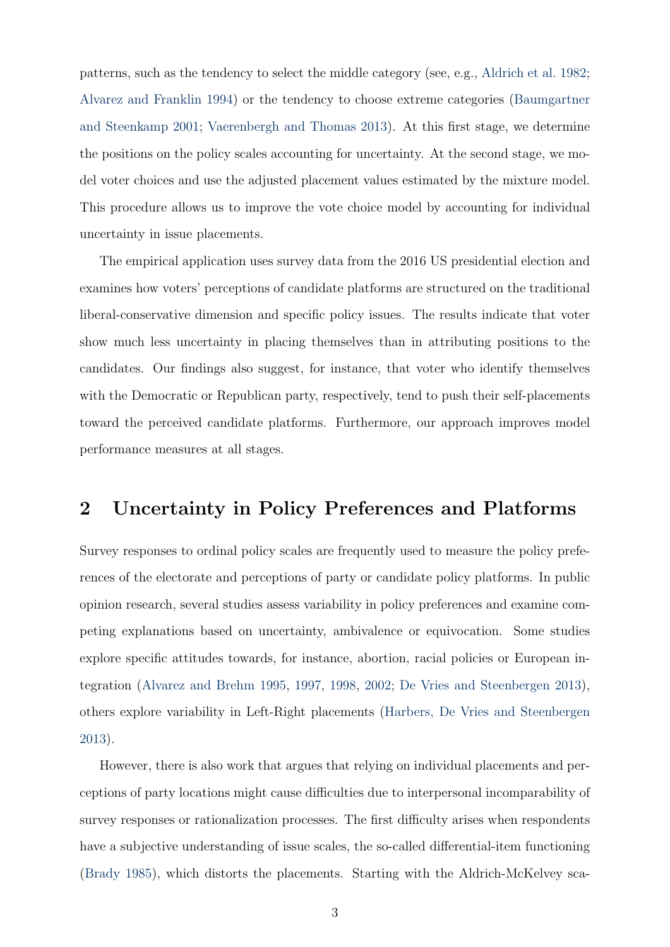patterns, such as the tendency to select the middle category (see, e.g., Aldrich et al. 1982; Alvarez and Franklin 1994) or the tendency to choose extreme categories (Baumgartner and Steenkamp 2001; Vaerenbergh and Thomas 2013). At this first stage, we determine the positions on the policy scales accounting for uncertainty. At the second stage, we model voter choices and use the adjusted placement values estimated by the mixture model. This procedure allows us to improve the vote choice model by accounting for individual uncertainty in issue placements.

The empirical application uses survey data from the 2016 US presidential election and examines how voters' perceptions of candidate platforms are structured on the traditional liberal-conservative dimension and specific policy issues. The results indicate that voter show much less uncertainty in placing themselves than in attributing positions to the candidates. Our findings also suggest, for instance, that voter who identify themselves with the Democratic or Republican party, respectively, tend to push their self-placements toward the perceived candidate platforms. Furthermore, our approach improves model performance measures at all stages.

### 2 Uncertainty in Policy Preferences and Platforms

Survey responses to ordinal policy scales are frequently used to measure the policy preferences of the electorate and perceptions of party or candidate policy platforms. In public opinion research, several studies assess variability in policy preferences and examine competing explanations based on uncertainty, ambivalence or equivocation. Some studies explore specific attitudes towards, for instance, abortion, racial policies or European integration (Alvarez and Brehm 1995, 1997, 1998, 2002; De Vries and Steenbergen 2013), others explore variability in Left-Right placements (Harbers, De Vries and Steenbergen 2013).

However, there is also work that argues that relying on individual placements and perceptions of party locations might cause difficulties due to interpersonal incomparability of survey responses or rationalization processes. The first difficulty arises when respondents have a subjective understanding of issue scales, the so-called differential-item functioning (Brady 1985), which distorts the placements. Starting with the Aldrich-McKelvey sca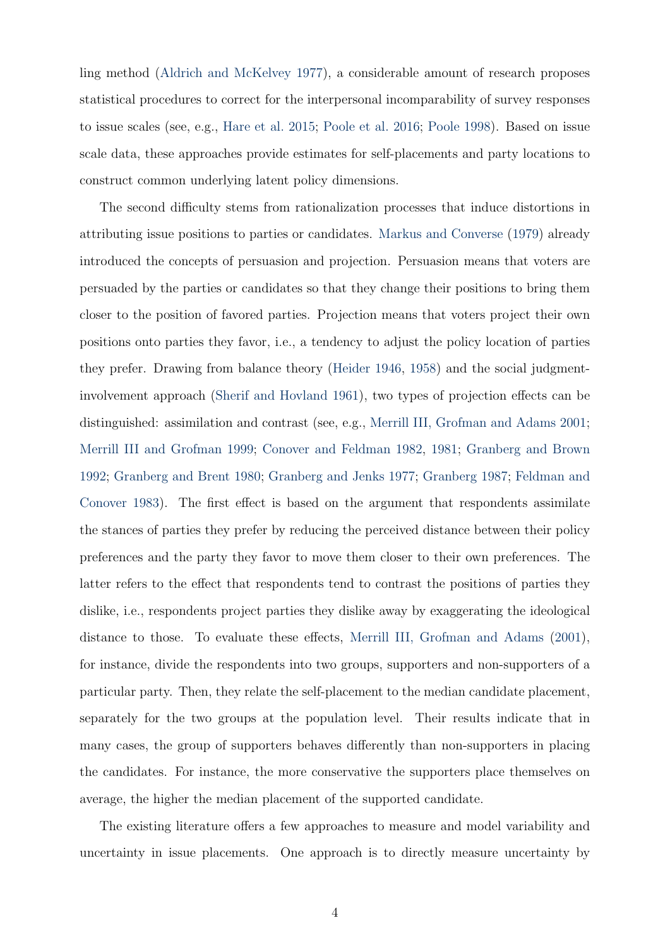ling method (Aldrich and McKelvey 1977), a considerable amount of research proposes statistical procedures to correct for the interpersonal incomparability of survey responses to issue scales (see, e.g., Hare et al. 2015; Poole et al. 2016; Poole 1998). Based on issue scale data, these approaches provide estimates for self-placements and party locations to construct common underlying latent policy dimensions.

The second difficulty stems from rationalization processes that induce distortions in attributing issue positions to parties or candidates. Markus and Converse (1979) already introduced the concepts of persuasion and projection. Persuasion means that voters are persuaded by the parties or candidates so that they change their positions to bring them closer to the position of favored parties. Projection means that voters project their own positions onto parties they favor, i.e., a tendency to adjust the policy location of parties they prefer. Drawing from balance theory (Heider 1946, 1958) and the social judgmentinvolvement approach (Sherif and Hovland 1961), two types of projection effects can be distinguished: assimilation and contrast (see, e.g., Merrill III, Grofman and Adams 2001; Merrill III and Grofman 1999; Conover and Feldman 1982, 1981; Granberg and Brown 1992; Granberg and Brent 1980; Granberg and Jenks 1977; Granberg 1987; Feldman and Conover 1983). The first effect is based on the argument that respondents assimilate the stances of parties they prefer by reducing the perceived distance between their policy preferences and the party they favor to move them closer to their own preferences. The latter refers to the effect that respondents tend to contrast the positions of parties they dislike, i.e., respondents project parties they dislike away by exaggerating the ideological distance to those. To evaluate these effects, Merrill III, Grofman and Adams (2001), for instance, divide the respondents into two groups, supporters and non-supporters of a particular party. Then, they relate the self-placement to the median candidate placement, separately for the two groups at the population level. Their results indicate that in many cases, the group of supporters behaves differently than non-supporters in placing the candidates. For instance, the more conservative the supporters place themselves on average, the higher the median placement of the supported candidate.

The existing literature offers a few approaches to measure and model variability and uncertainty in issue placements. One approach is to directly measure uncertainty by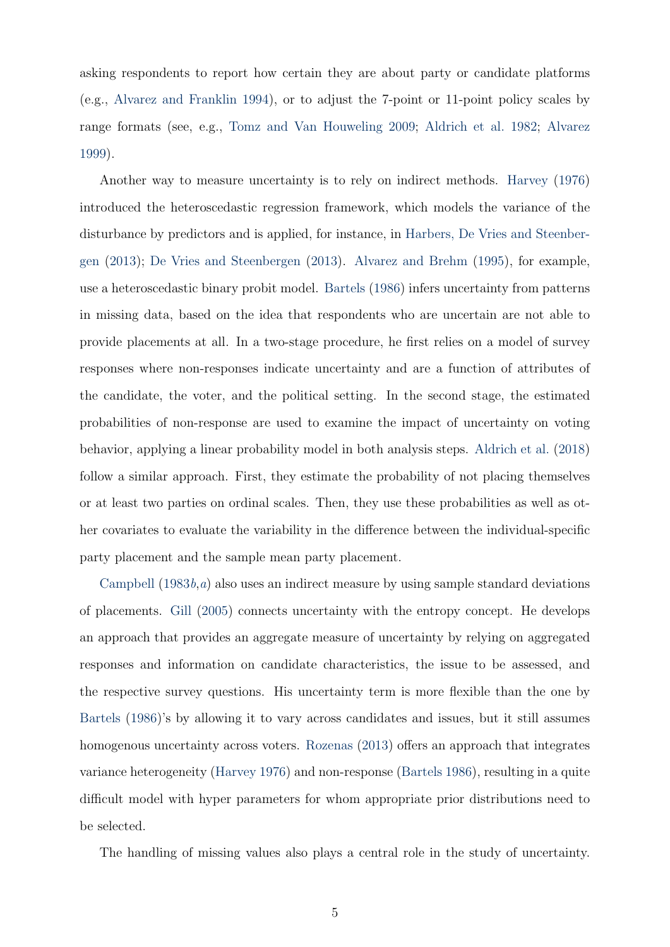asking respondents to report how certain they are about party or candidate platforms (e.g., Alvarez and Franklin 1994), or to adjust the 7-point or 11-point policy scales by range formats (see, e.g., Tomz and Van Houweling 2009; Aldrich et al. 1982; Alvarez 1999).

Another way to measure uncertainty is to rely on indirect methods. Harvey (1976) introduced the heteroscedastic regression framework, which models the variance of the disturbance by predictors and is applied, for instance, in Harbers, De Vries and Steenbergen (2013); De Vries and Steenbergen (2013). Alvarez and Brehm (1995), for example, use a heteroscedastic binary probit model. Bartels (1986) infers uncertainty from patterns in missing data, based on the idea that respondents who are uncertain are not able to provide placements at all. In a two-stage procedure, he first relies on a model of survey responses where non-responses indicate uncertainty and are a function of attributes of the candidate, the voter, and the political setting. In the second stage, the estimated probabilities of non-response are used to examine the impact of uncertainty on voting behavior, applying a linear probability model in both analysis steps. Aldrich et al. (2018) follow a similar approach. First, they estimate the probability of not placing themselves or at least two parties on ordinal scales. Then, they use these probabilities as well as other covariates to evaluate the variability in the difference between the individual-specific party placement and the sample mean party placement.

Campbell  $(1983b,a)$  also uses an indirect measure by using sample standard deviations of placements. Gill (2005) connects uncertainty with the entropy concept. He develops an approach that provides an aggregate measure of uncertainty by relying on aggregated responses and information on candidate characteristics, the issue to be assessed, and the respective survey questions. His uncertainty term is more flexible than the one by Bartels (1986)'s by allowing it to vary across candidates and issues, but it still assumes homogenous uncertainty across voters. Rozenas (2013) offers an approach that integrates variance heterogeneity (Harvey 1976) and non-response (Bartels 1986), resulting in a quite difficult model with hyper parameters for whom appropriate prior distributions need to be selected.

The handling of missing values also plays a central role in the study of uncertainty.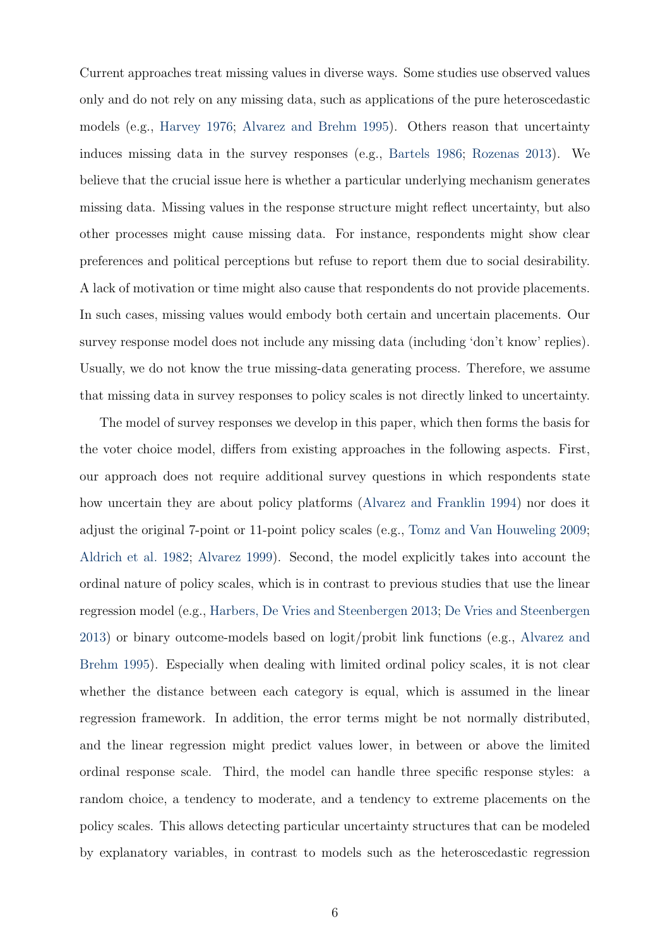Current approaches treat missing values in diverse ways. Some studies use observed values only and do not rely on any missing data, such as applications of the pure heteroscedastic models (e.g., Harvey 1976; Alvarez and Brehm 1995). Others reason that uncertainty induces missing data in the survey responses (e.g., Bartels 1986; Rozenas 2013). We believe that the crucial issue here is whether a particular underlying mechanism generates missing data. Missing values in the response structure might reflect uncertainty, but also other processes might cause missing data. For instance, respondents might show clear preferences and political perceptions but refuse to report them due to social desirability. A lack of motivation or time might also cause that respondents do not provide placements. In such cases, missing values would embody both certain and uncertain placements. Our survey response model does not include any missing data (including 'don't know' replies). Usually, we do not know the true missing-data generating process. Therefore, we assume that missing data in survey responses to policy scales is not directly linked to uncertainty.

The model of survey responses we develop in this paper, which then forms the basis for the voter choice model, differs from existing approaches in the following aspects. First, our approach does not require additional survey questions in which respondents state how uncertain they are about policy platforms (Alvarez and Franklin 1994) nor does it adjust the original 7-point or 11-point policy scales (e.g., Tomz and Van Houweling 2009; Aldrich et al. 1982; Alvarez 1999). Second, the model explicitly takes into account the ordinal nature of policy scales, which is in contrast to previous studies that use the linear regression model (e.g., Harbers, De Vries and Steenbergen 2013; De Vries and Steenbergen 2013) or binary outcome-models based on logit/probit link functions (e.g., Alvarez and Brehm 1995). Especially when dealing with limited ordinal policy scales, it is not clear whether the distance between each category is equal, which is assumed in the linear regression framework. In addition, the error terms might be not normally distributed, and the linear regression might predict values lower, in between or above the limited ordinal response scale. Third, the model can handle three specific response styles: a random choice, a tendency to moderate, and a tendency to extreme placements on the policy scales. This allows detecting particular uncertainty structures that can be modeled by explanatory variables, in contrast to models such as the heteroscedastic regression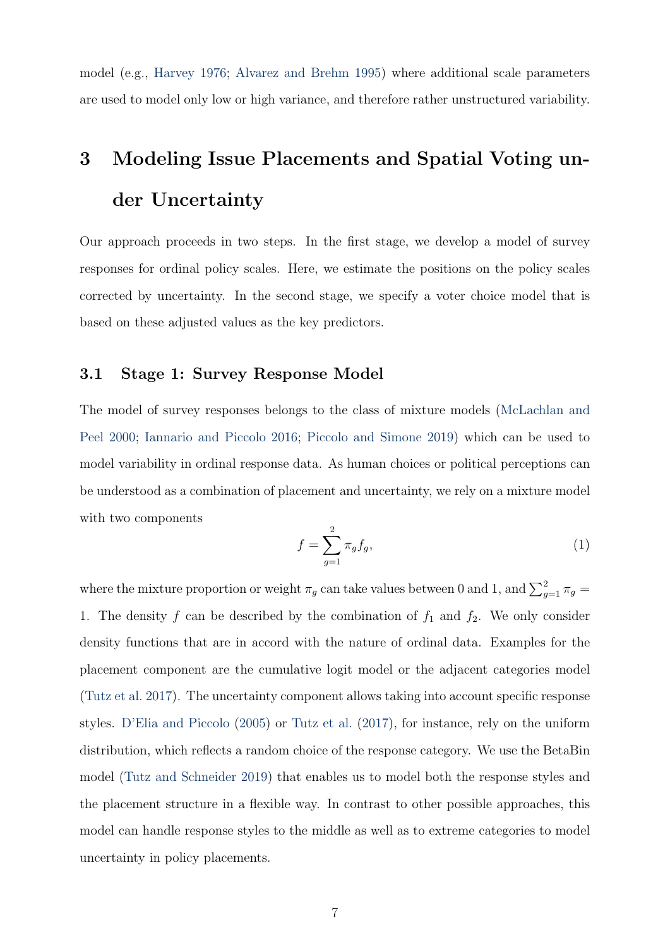model (e.g., Harvey 1976; Alvarez and Brehm 1995) where additional scale parameters are used to model only low or high variance, and therefore rather unstructured variability.

## 3 Modeling Issue Placements and Spatial Voting under Uncertainty

Our approach proceeds in two steps. In the first stage, we develop a model of survey responses for ordinal policy scales. Here, we estimate the positions on the policy scales corrected by uncertainty. In the second stage, we specify a voter choice model that is based on these adjusted values as the key predictors.

#### 3.1 Stage 1: Survey Response Model

The model of survey responses belongs to the class of mixture models (McLachlan and Peel 2000; Iannario and Piccolo 2016; Piccolo and Simone 2019) which can be used to model variability in ordinal response data. As human choices or political perceptions can be understood as a combination of placement and uncertainty, we rely on a mixture model with two components

$$
f = \sum_{g=1}^{2} \pi_g f_g,\tag{1}
$$

where the mixture proportion or weight  $\pi_g$  can take values between 0 and 1, and  $\sum_{g=1}^{2} \pi_g$ 1. The density f can be described by the combination of  $f_1$  and  $f_2$ . We only consider density functions that are in accord with the nature of ordinal data. Examples for the placement component are the cumulative logit model or the adjacent categories model (Tutz et al. 2017). The uncertainty component allows taking into account specific response styles. D'Elia and Piccolo (2005) or Tutz et al. (2017), for instance, rely on the uniform distribution, which reflects a random choice of the response category. We use the BetaBin model (Tutz and Schneider 2019) that enables us to model both the response styles and the placement structure in a flexible way. In contrast to other possible approaches, this model can handle response styles to the middle as well as to extreme categories to model uncertainty in policy placements.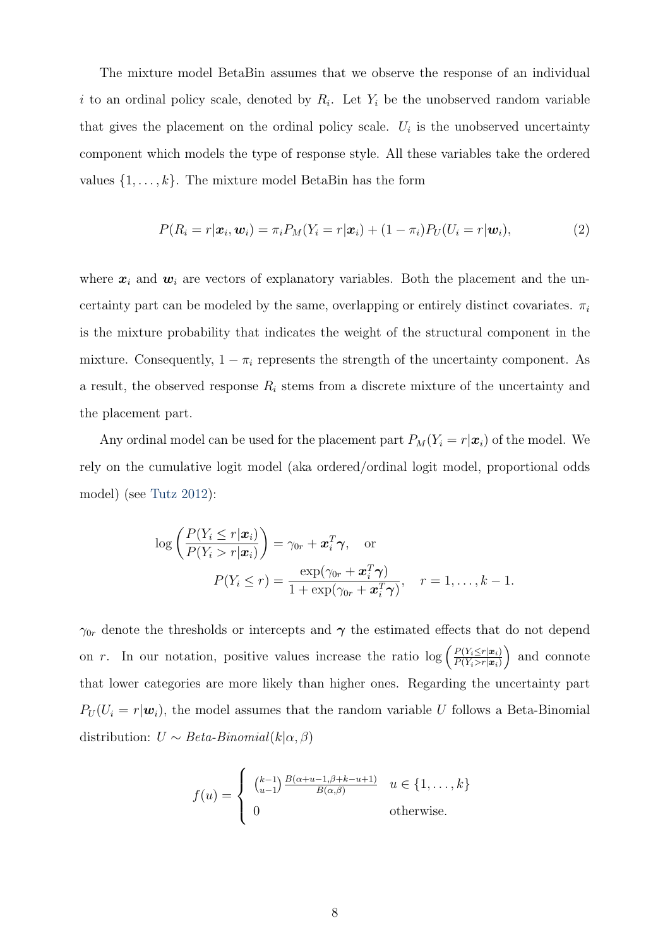The mixture model BetaBin assumes that we observe the response of an individual i to an ordinal policy scale, denoted by  $R_i$ . Let  $Y_i$  be the unobserved random variable that gives the placement on the ordinal policy scale.  $U_i$  is the unobserved uncertainty component which models the type of response style. All these variables take the ordered values  $\{1, \ldots, k\}$ . The mixture model BetaBin has the form

$$
P(R_i = r | \boldsymbol{x}_i, \boldsymbol{w}_i) = \pi_i P_M(Y_i = r | \boldsymbol{x}_i) + (1 - \pi_i) P_U(U_i = r | \boldsymbol{w}_i), \tag{2}
$$

where  $x_i$  and  $w_i$  are vectors of explanatory variables. Both the placement and the uncertainty part can be modeled by the same, overlapping or entirely distinct covariates.  $\pi_i$ is the mixture probability that indicates the weight of the structural component in the mixture. Consequently,  $1 - \pi_i$  represents the strength of the uncertainty component. As a result, the observed response  $R_i$  stems from a discrete mixture of the uncertainty and the placement part.

Any ordinal model can be used for the placement part  $P_M(Y_i = r | \boldsymbol{x}_i)$  of the model. We rely on the cumulative logit model (aka ordered/ordinal logit model, proportional odds model) (see Tutz 2012):

$$
\log\left(\frac{P(Y_i \leq r | \boldsymbol{x}_i)}{P(Y_i > r | \boldsymbol{x}_i)}\right) = \gamma_{0r} + \boldsymbol{x}_i^T \boldsymbol{\gamma}, \text{ or}
$$

$$
P(Y_i \leq r) = \frac{\exp(\gamma_{0r} + \boldsymbol{x}_i^T \boldsymbol{\gamma})}{1 + \exp(\gamma_{0r} + \boldsymbol{x}_i^T \boldsymbol{\gamma})}, \quad r = 1, \dots, k - 1.
$$

 $\gamma_{0r}$  denote the thresholds or intercepts and  $\gamma$  the estimated effects that do not depend on r. In our notation, positive values increase the ratio  $\log \left( \frac{P(Y_i \leq r | \mathbf{x}_i)}{P(Y_i > r | \mathbf{x}_i)} \right)$  $P(Y_i > r | \boldsymbol{x}_i)$ ) and connote that lower categories are more likely than higher ones. Regarding the uncertainty part  $P_U(U_i = r | \boldsymbol{w}_i)$ , the model assumes that the random variable U follows a Beta-Binomial distribution:  $U \sim Beta-Binomial(k|\alpha, \beta)$ 

$$
f(u) = \begin{cases} {k-1 \choose u-1} \frac{B(\alpha+u-1,\beta+k-u+1)}{B(\alpha,\beta)} & u \in \{1,\ldots,k\} \\ 0 & \text{otherwise.} \end{cases}
$$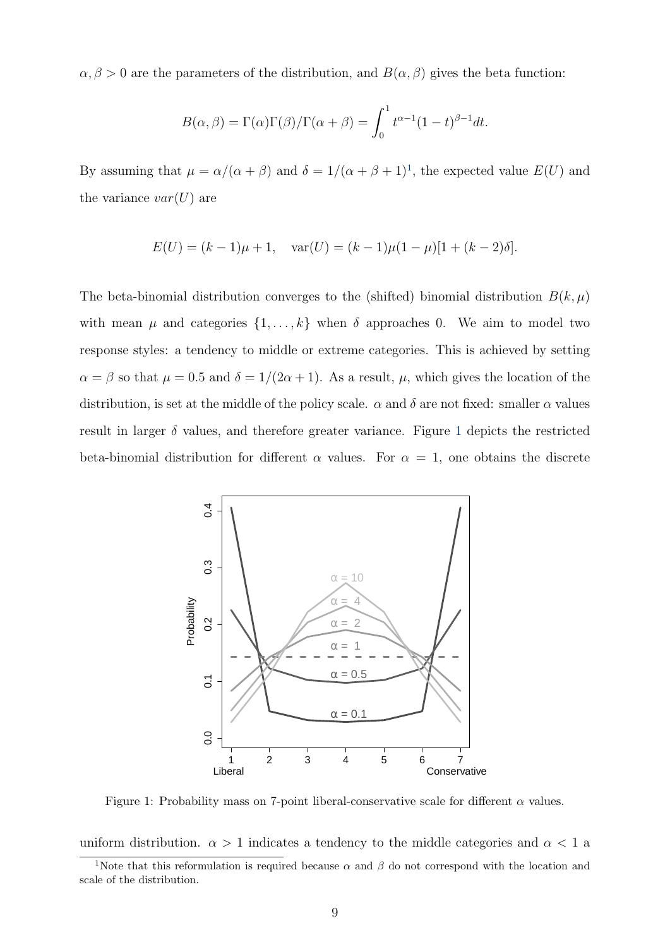$\alpha, \beta > 0$  are the parameters of the distribution, and  $B(\alpha, \beta)$  gives the beta function:

$$
B(\alpha, \beta) = \Gamma(\alpha)\Gamma(\beta)/\Gamma(\alpha + \beta) = \int_0^1 t^{\alpha - 1}(1 - t)^{\beta - 1}dt.
$$

By assuming that  $\mu = \alpha/(\alpha + \beta)$  and  $\delta = 1/(\alpha + \beta + 1)^{1}$ , the expected value  $E(U)$  and the variance  $var(U)$  are

$$
E(U) = (k-1)\mu + 1, \quad \text{var}(U) = (k-1)\mu(1-\mu)[1 + (k-2)\delta].
$$

The beta-binomial distribution converges to the (shifted) binomial distribution  $B(k,\mu)$ with mean  $\mu$  and categories  $\{1, \ldots, k\}$  when  $\delta$  approaches 0. We aim to model two response styles: a tendency to middle or extreme categories. This is achieved by setting  $\alpha = \beta$  so that  $\mu = 0.5$  and  $\delta = 1/(2\alpha + 1)$ . As a result,  $\mu$ , which gives the location of the distribution, is set at the middle of the policy scale.  $\alpha$  and  $\delta$  are not fixed: smaller  $\alpha$  values result in larger  $\delta$  values, and therefore greater variance. Figure 1 depicts the restricted beta-binomial distribution for different  $\alpha$  values. For  $\alpha = 1$ , one obtains the discrete



Figure 1: Probability mass on 7-point liberal-conservative scale for different  $\alpha$  values.

uniform distribution.  $\alpha > 1$  indicates a tendency to the middle categories and  $\alpha < 1$  a

<sup>&</sup>lt;sup>1</sup>Note that this reformulation is required because  $\alpha$  and  $\beta$  do not correspond with the location and scale of the distribution.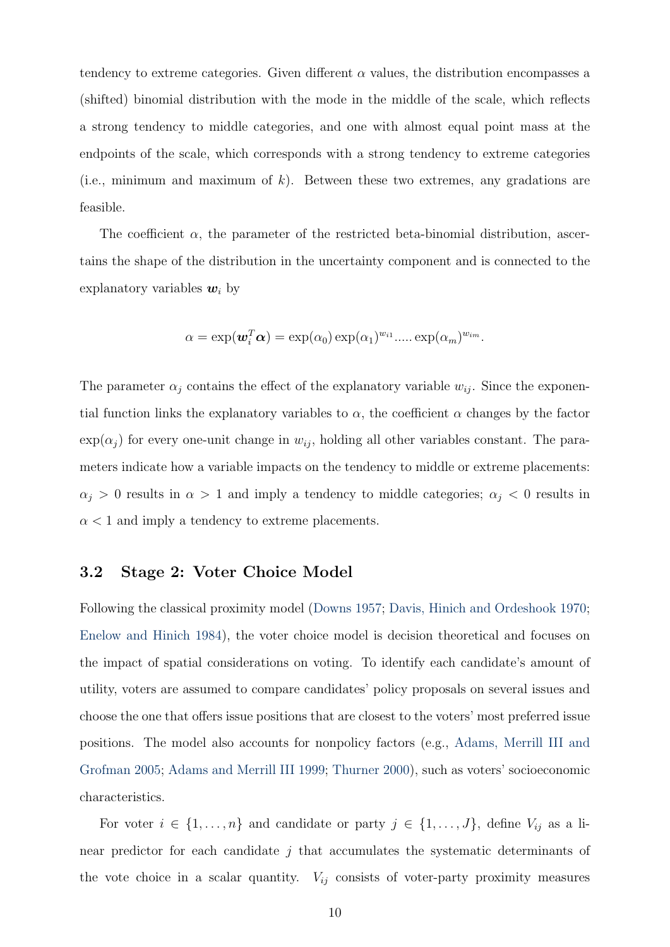tendency to extreme categories. Given different  $\alpha$  values, the distribution encompasses a (shifted) binomial distribution with the mode in the middle of the scale, which reflects a strong tendency to middle categories, and one with almost equal point mass at the endpoints of the scale, which corresponds with a strong tendency to extreme categories (i.e., minimum and maximum of  $k$ ). Between these two extremes, any gradations are feasible.

The coefficient  $\alpha$ , the parameter of the restricted beta-binomial distribution, ascertains the shape of the distribution in the uncertainty component and is connected to the explanatory variables  $w_i$  by

$$
\alpha = \exp(\boldsymbol{w}_i^T \boldsymbol{\alpha}) = \exp(\alpha_0) \exp(\alpha_1)^{w_{i1}} \dots \exp(\alpha_m)^{w_{im}}.
$$

The parameter  $\alpha_j$  contains the effect of the explanatory variable  $w_{ij}$ . Since the exponential function links the explanatory variables to  $\alpha$ , the coefficient  $\alpha$  changes by the factor  $\exp(\alpha_i)$  for every one-unit change in  $w_{ij}$ , holding all other variables constant. The parameters indicate how a variable impacts on the tendency to middle or extreme placements:  $\alpha_j > 0$  results in  $\alpha > 1$  and imply a tendency to middle categories;  $\alpha_j < 0$  results in  $\alpha$  < 1 and imply a tendency to extreme placements.

#### 3.2 Stage 2: Voter Choice Model

Following the classical proximity model (Downs 1957; Davis, Hinich and Ordeshook 1970; Enelow and Hinich 1984), the voter choice model is decision theoretical and focuses on the impact of spatial considerations on voting. To identify each candidate's amount of utility, voters are assumed to compare candidates' policy proposals on several issues and choose the one that offers issue positions that are closest to the voters' most preferred issue positions. The model also accounts for nonpolicy factors (e.g., Adams, Merrill III and Grofman 2005; Adams and Merrill III 1999; Thurner 2000), such as voters' socioeconomic characteristics.

For voter  $i \in \{1, \ldots, n\}$  and candidate or party  $j \in \{1, \ldots, J\}$ , define  $V_{ij}$  as a linear predictor for each candidate  $j$  that accumulates the systematic determinants of the vote choice in a scalar quantity.  $V_{ij}$  consists of voter-party proximity measures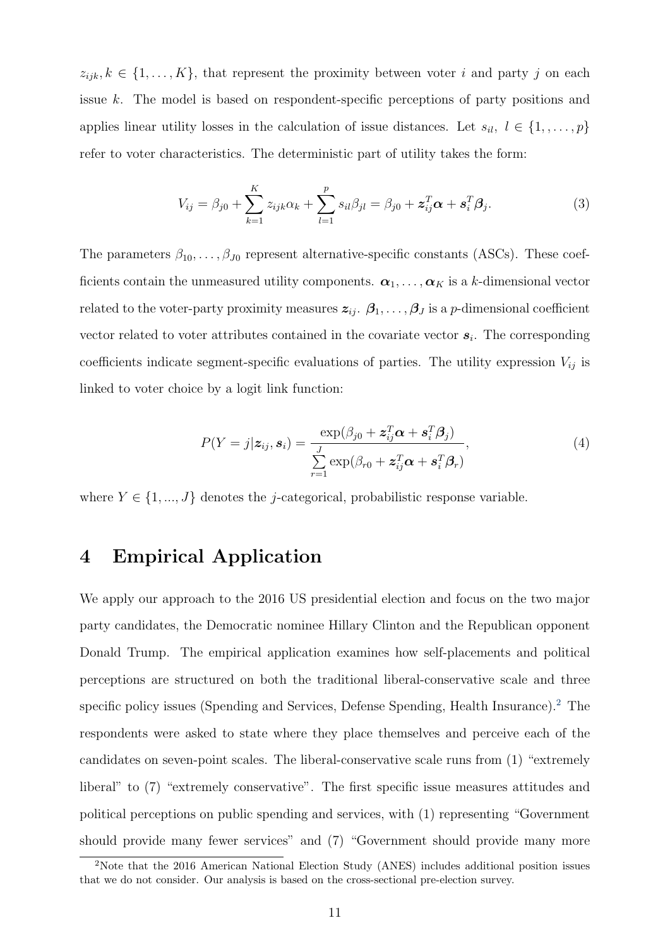$z_{ijk}, k \in \{1, \ldots, K\}$ , that represent the proximity between voter i and party j on each issue k. The model is based on respondent-specific perceptions of party positions and applies linear utility losses in the calculation of issue distances. Let  $s_{il}$ ,  $l \in \{1, \ldots, p\}$ refer to voter characteristics. The deterministic part of utility takes the form:

$$
V_{ij} = \beta_{j0} + \sum_{k=1}^{K} z_{ijk} \alpha_k + \sum_{l=1}^{p} s_{il} \beta_{jl} = \beta_{j0} + \mathbf{z}_{ij}^{T} \alpha + \mathbf{s}_{i}^{T} \beta_{j}.
$$
 (3)

The parameters  $\beta_{10}, \ldots, \beta_{J0}$  represent alternative-specific constants (ASCs). These coefficients contain the unmeasured utility components.  $\alpha_1, \ldots, \alpha_K$  is a k-dimensional vector related to the voter-party proximity measures  $z_{ij}$ .  $\beta_1, \ldots, \beta_J$  is a p-dimensional coefficient vector related to voter attributes contained in the covariate vector  $s_i$ . The corresponding coefficients indicate segment-specific evaluations of parties. The utility expression  $V_{ij}$  is linked to voter choice by a logit link function:

$$
P(Y = j | \mathbf{z}_{ij}, \mathbf{s}_i) = \frac{\exp(\beta_{j0} + \mathbf{z}_{ij}^T \boldsymbol{\alpha} + \mathbf{s}_i^T \boldsymbol{\beta}_j)}{\sum\limits_{r=1}^J \exp(\beta_{r0} + \mathbf{z}_{ij}^T \boldsymbol{\alpha} + \mathbf{s}_i^T \boldsymbol{\beta}_r)},
$$
(4)

where  $Y \in \{1, ..., J\}$  denotes the *j*-categorical, probabilistic response variable.

## 4 Empirical Application

We apply our approach to the 2016 US presidential election and focus on the two major party candidates, the Democratic nominee Hillary Clinton and the Republican opponent Donald Trump. The empirical application examines how self-placements and political perceptions are structured on both the traditional liberal-conservative scale and three specific policy issues (Spending and Services, Defense Spending, Health Insurance).<sup>2</sup> The respondents were asked to state where they place themselves and perceive each of the candidates on seven-point scales. The liberal-conservative scale runs from (1) "extremely liberal" to (7) "extremely conservative". The first specific issue measures attitudes and political perceptions on public spending and services, with (1) representing "Government should provide many fewer services" and (7) "Government should provide many more

<sup>&</sup>lt;sup>2</sup>Note that the 2016 American National Election Study (ANES) includes additional position issues that we do not consider. Our analysis is based on the cross-sectional pre-election survey.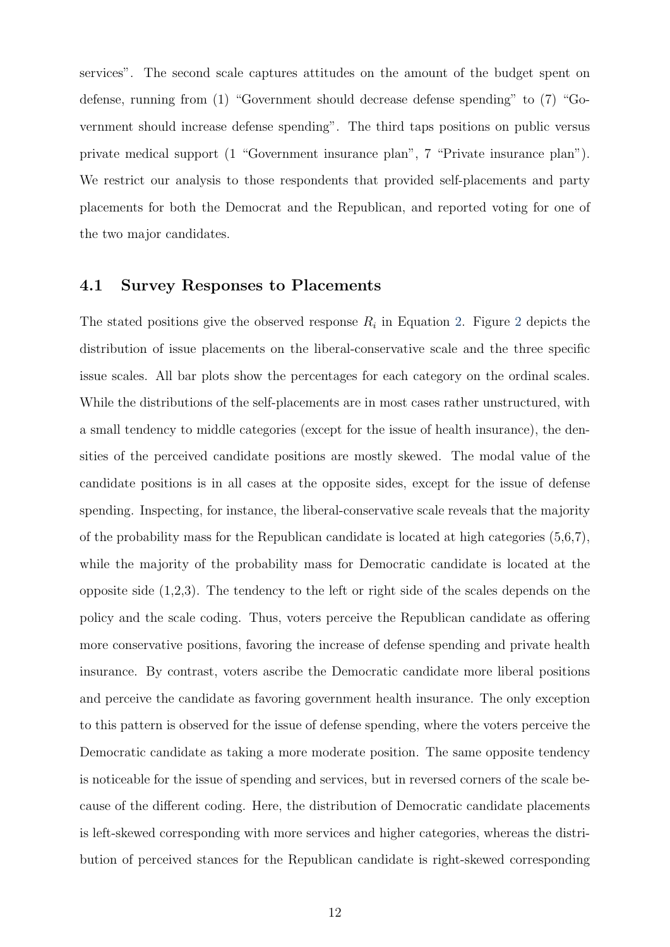services". The second scale captures attitudes on the amount of the budget spent on defense, running from (1) "Government should decrease defense spending" to (7) "Government should increase defense spending". The third taps positions on public versus private medical support (1 "Government insurance plan", 7 "Private insurance plan"). We restrict our analysis to those respondents that provided self-placements and party placements for both the Democrat and the Republican, and reported voting for one of the two major candidates.

#### 4.1 Survey Responses to Placements

The stated positions give the observed response  $R_i$  in Equation 2. Figure 2 depicts the distribution of issue placements on the liberal-conservative scale and the three specific issue scales. All bar plots show the percentages for each category on the ordinal scales. While the distributions of the self-placements are in most cases rather unstructured, with a small tendency to middle categories (except for the issue of health insurance), the densities of the perceived candidate positions are mostly skewed. The modal value of the candidate positions is in all cases at the opposite sides, except for the issue of defense spending. Inspecting, for instance, the liberal-conservative scale reveals that the majority of the probability mass for the Republican candidate is located at high categories (5,6,7), while the majority of the probability mass for Democratic candidate is located at the opposite side (1,2,3). The tendency to the left or right side of the scales depends on the policy and the scale coding. Thus, voters perceive the Republican candidate as offering more conservative positions, favoring the increase of defense spending and private health insurance. By contrast, voters ascribe the Democratic candidate more liberal positions and perceive the candidate as favoring government health insurance. The only exception to this pattern is observed for the issue of defense spending, where the voters perceive the Democratic candidate as taking a more moderate position. The same opposite tendency is noticeable for the issue of spending and services, but in reversed corners of the scale because of the different coding. Here, the distribution of Democratic candidate placements is left-skewed corresponding with more services and higher categories, whereas the distribution of perceived stances for the Republican candidate is right-skewed corresponding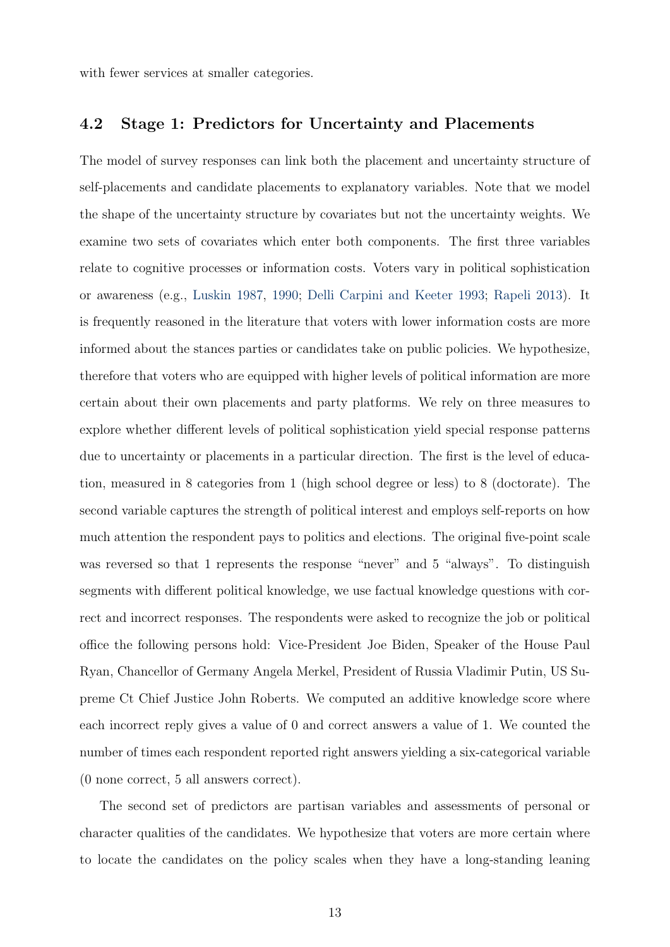with fewer services at smaller categories.

#### 4.2 Stage 1: Predictors for Uncertainty and Placements

The model of survey responses can link both the placement and uncertainty structure of self-placements and candidate placements to explanatory variables. Note that we model the shape of the uncertainty structure by covariates but not the uncertainty weights. We examine two sets of covariates which enter both components. The first three variables relate to cognitive processes or information costs. Voters vary in political sophistication or awareness (e.g., Luskin 1987, 1990; Delli Carpini and Keeter 1993; Rapeli 2013). It is frequently reasoned in the literature that voters with lower information costs are more informed about the stances parties or candidates take on public policies. We hypothesize, therefore that voters who are equipped with higher levels of political information are more certain about their own placements and party platforms. We rely on three measures to explore whether different levels of political sophistication yield special response patterns due to uncertainty or placements in a particular direction. The first is the level of education, measured in 8 categories from 1 (high school degree or less) to 8 (doctorate). The second variable captures the strength of political interest and employs self-reports on how much attention the respondent pays to politics and elections. The original five-point scale was reversed so that 1 represents the response "never" and 5 "always". To distinguish segments with different political knowledge, we use factual knowledge questions with correct and incorrect responses. The respondents were asked to recognize the job or political office the following persons hold: Vice-President Joe Biden, Speaker of the House Paul Ryan, Chancellor of Germany Angela Merkel, President of Russia Vladimir Putin, US Supreme Ct Chief Justice John Roberts. We computed an additive knowledge score where each incorrect reply gives a value of 0 and correct answers a value of 1. We counted the number of times each respondent reported right answers yielding a six-categorical variable (0 none correct, 5 all answers correct).

The second set of predictors are partisan variables and assessments of personal or character qualities of the candidates. We hypothesize that voters are more certain where to locate the candidates on the policy scales when they have a long-standing leaning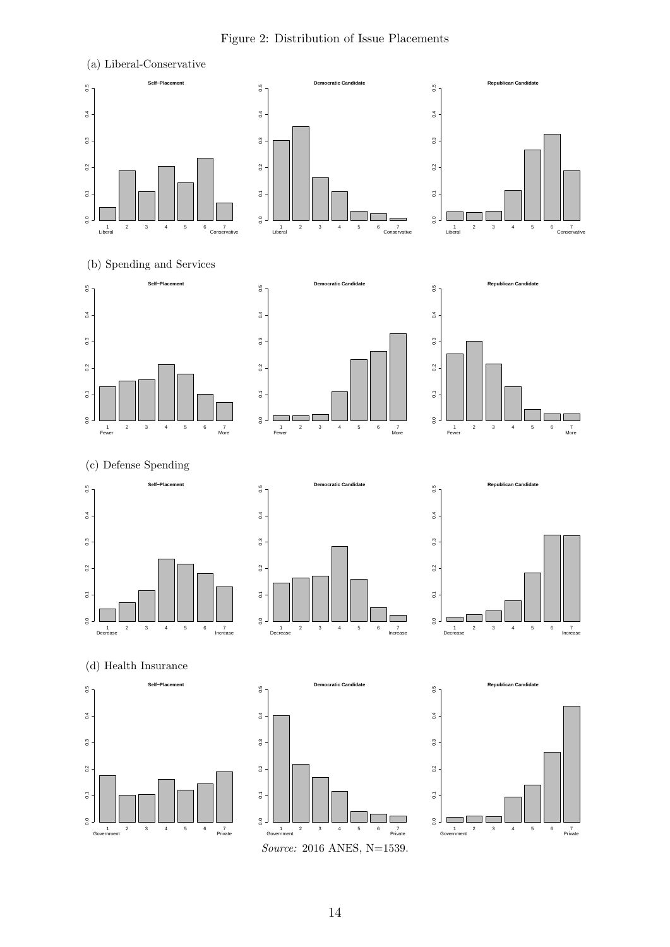(a) Liberal-Conservative **Self−Placement Democratic Candidate Republican Candidate**  $0.5$  $0.5$  $_{0.5}^{\phantom{0}}$ 0.0 0.1 0.2 0.3 0.4 0.5 0.0 0.1 0.2 0.3 0.4 0.5 0.0 0.1 0.2 0.3 0.4 0.5  $0.4$  $\frac{4}{9}$  $0.4$  $_{\rm 3}^3$  $\ddot{\circ}$  $_{0.3}$  $0.2$  $0.2$  $0.2$  $\overline{0}$  $\overline{\mathbf{S}}$  $\overline{0}$ .  $\frac{1}{6}$  $\frac{0}{0}$  $\frac{1}{2}$ 1 2 3 4 5 6 7<br>Liberal Conservative 1 2<br>Liberal 1 2 3 4 5 6 7 1 2 3 4 5 6 7 1 2 3 4 5 6 7 Liberal Conservative (b) Spending and Services **Democratic Candidate Republican Candidate Self−Placement**  $0.5$  $\frac{5}{6}$  $0.5$ 0.0 0.1 0.2 0.3 0.4 0.5 0.0 0.1 0.2 0.3 0.4 0.5 0.0 0.1 0.2 0.3 0.4 0.5  $0.4$  $0.4$  $0.4$  $^{0.3}$  $0.3$  $0.3$  $\frac{2}{3}$  $\frac{2}{3}$  $\rm ^{2}$  $\overline{\circ}$  $\overline{\circ}$  $\overline{\rm o}$  $\frac{1}{6}$  $\overline{0}$ ┓  $_{\rm 0.0}$ The Contract of the Contract of the Contract of the Contract of the Contract of the Contract of the Contract of the Contract of the Contract of the Contract of the Contract of the Contract of the Contract of the Contract o  $\frac{1}{\text{Fewer}}$ 1 2 3 4 5 6 7 1 2 3 4 5 6 7 1 2 3 4 5 6 7 Fewer More (c) Defense Spending **Democratic Candidate Republican Candidate Self−Placement**  $0.5$  $0.5$  $0.5$ 0.0 0.1 0.2 0.3 0.4 0.5 0.0 0.1 0.2 0.3 0.4 0.5 0.0 0.1 0.2 0.3 0.4 0.5  $0.4$  $0.4$  $0.4$  $0.3$  $\ddot{\circ}$  $0.3$  $0.2$  $\frac{2}{3}$  $0.2$  $\overline{0}$  $\overline{\textbf{G}}$  $\overline{\textbf{c}}$  $_{0.0}$  $\frac{1}{6}$  $\frac{1}{5}$ ۳Ū 1 2 3 4 5 6 7<br>Decrease Increase Increase 1<br>Decrease 2 3 4 5 6 7<br>Increase 1 2 3 4 5 6 7 Decrease Increase 1 2 3 4 5 6 7 (d) Health Insurance **Democratic Candidate Self−Placement Republican Candidate**  $0.5$  $0.5$  $0.5$ 0.0 0.1 0.2 0.3 0.4 0.5 0.0 0.1 0.2 0.3 0.4 0.5 0.0 0.1 0.2 0.3 0.4 0.5  $0.4$  $^{0.4}$  $0.4$  $_{0.3}$  $0.3$  $0.3$  $0.2$  $\frac{2}{3}$  $0.2$  $\overline{a}$  $\overline{\circ}$  $\overline{\mathbf{c}}$  $_{0.0}$  $\overline{0}$ .0  $\overline{\phantom{0}}$  $\frac{6}{10}$ ٦C ┓ 7<br>Private 1 2 3 4 5 6 7<br>Government Private 1 2 3 4 5 6 7 1 2 3 4 5 6 7 Government Private 1 2 3 4 5 6 7 Source: 2016 ANES, N=1539.

#### Figure 2: Distribution of Issue Placements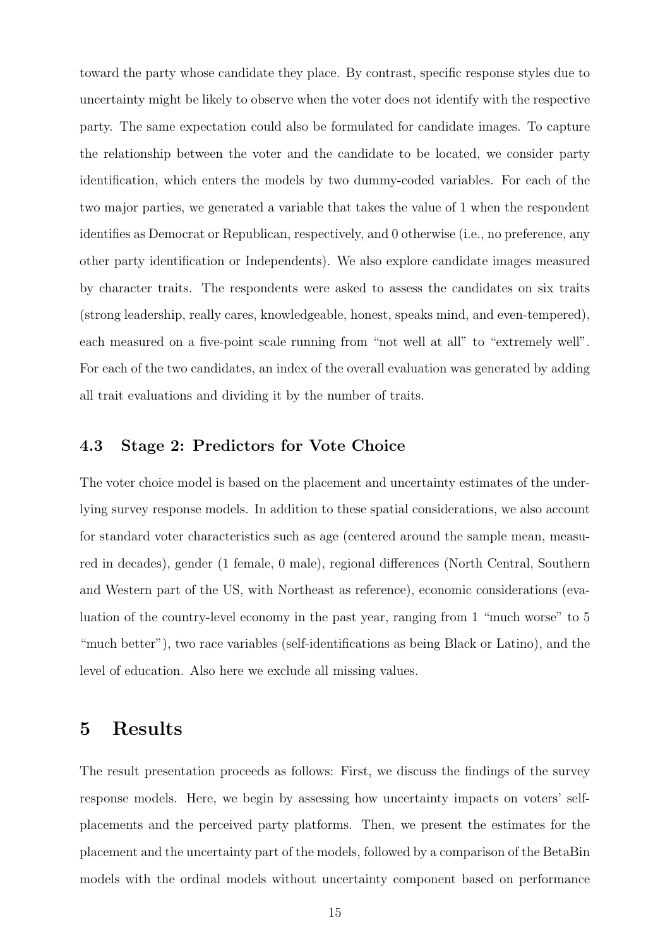toward the party whose candidate they place. By contrast, specific response styles due to uncertainty might be likely to observe when the voter does not identify with the respective party. The same expectation could also be formulated for candidate images. To capture the relationship between the voter and the candidate to be located, we consider party identification, which enters the models by two dummy-coded variables. For each of the two major parties, we generated a variable that takes the value of 1 when the respondent identifies as Democrat or Republican, respectively, and 0 otherwise (i.e., no preference, any other party identification or Independents). We also explore candidate images measured by character traits. The respondents were asked to assess the candidates on six traits (strong leadership, really cares, knowledgeable, honest, speaks mind, and even-tempered), each measured on a five-point scale running from "not well at all" to "extremely well". For each of the two candidates, an index of the overall evaluation was generated by adding all trait evaluations and dividing it by the number of traits.

#### 4.3 Stage 2: Predictors for Vote Choice

The voter choice model is based on the placement and uncertainty estimates of the underlying survey response models. In addition to these spatial considerations, we also account for standard voter characteristics such as age (centered around the sample mean, measured in decades), gender (1 female, 0 male), regional differences (North Central, Southern and Western part of the US, with Northeast as reference), economic considerations (evaluation of the country-level economy in the past year, ranging from 1 "much worse" to 5 "much better"), two race variables (self-identifications as being Black or Latino), and the level of education. Also here we exclude all missing values.

## 5 Results

The result presentation proceeds as follows: First, we discuss the findings of the survey response models. Here, we begin by assessing how uncertainty impacts on voters' selfplacements and the perceived party platforms. Then, we present the estimates for the placement and the uncertainty part of the models, followed by a comparison of the BetaBin models with the ordinal models without uncertainty component based on performance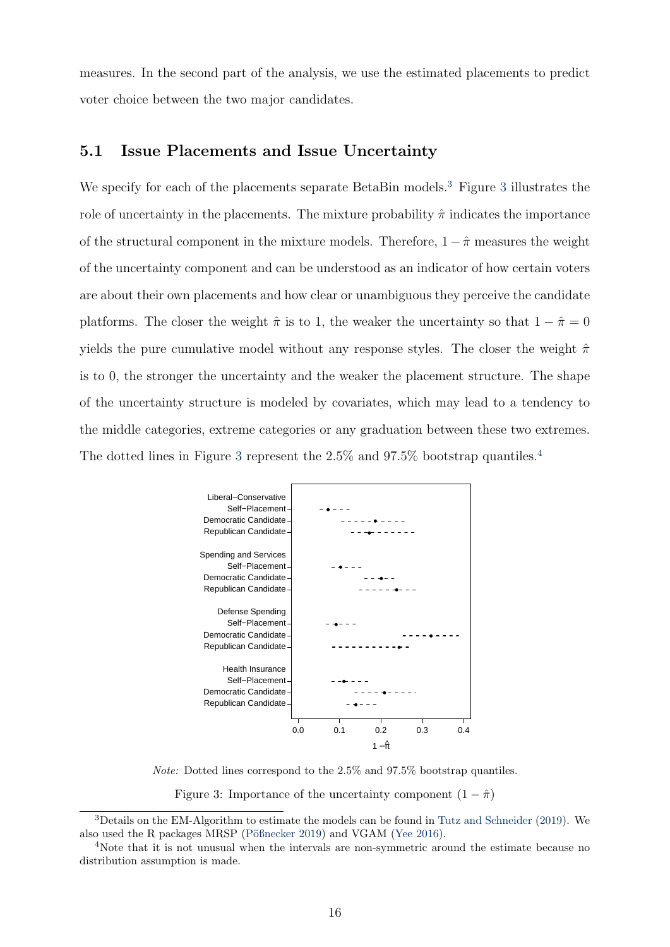measures. In the second part of the analysis, we use the estimated placements to predict voter choice between the two major candidates.

#### 5.1 Issue Placements and Issue Uncertainty

We specify for each of the placements separate BetaBin models.<sup>3</sup> Figure 3 illustrates the role of uncertainty in the placements. The mixture probability  $\hat{\pi}$  indicates the importance of the structural component in the mixture models. Therefore,  $1 - \hat{\pi}$  measures the weight of the uncertainty component and can be understood as an indicator of how certain voters are about their own placements and how clear or unambiguous they perceive the candidate platforms. The closer the weight  $\hat{\pi}$  is to 1, the weaker the uncertainty so that  $1 - \hat{\pi} = 0$ yields the pure cumulative model without any response styles. The closer the weight  $\hat{\pi}$ is to 0, the stronger the uncertainty and the weaker the placement structure. The shape of the uncertainty structure is modeled by covariates, which may lead to a tendency to the middle categories, extreme categories or any graduation between these two extremes. The dotted lines in Figure 3 represent the  $2.5\%$  and  $97.5\%$  bootstrap quantiles.<sup>4</sup>



Note: Dotted lines correspond to the 2.5% and 97.5% bootstrap quantiles.

Figure 3: Importance of the uncertainty component  $(1 - \hat{\pi})$ 

<sup>3</sup>Details on the EM-Algorithm to estimate the models can be found in Tutz and Schneider (2019). We also used the R packages MRSP (Pößnecker 2019) and VGAM (Yee 2016).

<sup>&</sup>lt;sup>4</sup>Note that it is not unusual when the intervals are non-symmetric around the estimate because no distribution assumption is made.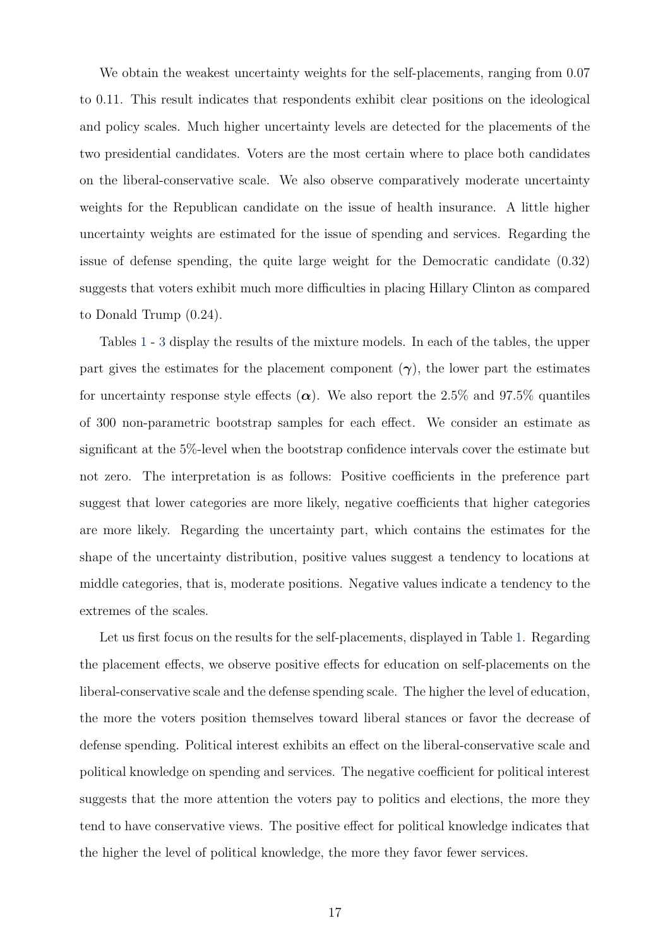We obtain the weakest uncertainty weights for the self-placements, ranging from 0.07 to 0.11. This result indicates that respondents exhibit clear positions on the ideological and policy scales. Much higher uncertainty levels are detected for the placements of the two presidential candidates. Voters are the most certain where to place both candidates on the liberal-conservative scale. We also observe comparatively moderate uncertainty weights for the Republican candidate on the issue of health insurance. A little higher uncertainty weights are estimated for the issue of spending and services. Regarding the issue of defense spending, the quite large weight for the Democratic candidate (0.32) suggests that voters exhibit much more difficulties in placing Hillary Clinton as compared to Donald Trump (0.24).

Tables 1 - 3 display the results of the mixture models. In each of the tables, the upper part gives the estimates for the placement component  $(\gamma)$ , the lower part the estimates for uncertainty response style effects  $(\alpha)$ . We also report the 2.5% and 97.5% quantiles of 300 non-parametric bootstrap samples for each effect. We consider an estimate as significant at the 5%-level when the bootstrap confidence intervals cover the estimate but not zero. The interpretation is as follows: Positive coefficients in the preference part suggest that lower categories are more likely, negative coefficients that higher categories are more likely. Regarding the uncertainty part, which contains the estimates for the shape of the uncertainty distribution, positive values suggest a tendency to locations at middle categories, that is, moderate positions. Negative values indicate a tendency to the extremes of the scales.

Let us first focus on the results for the self-placements, displayed in Table 1. Regarding the placement effects, we observe positive effects for education on self-placements on the liberal-conservative scale and the defense spending scale. The higher the level of education, the more the voters position themselves toward liberal stances or favor the decrease of defense spending. Political interest exhibits an effect on the liberal-conservative scale and political knowledge on spending and services. The negative coefficient for political interest suggests that the more attention the voters pay to politics and elections, the more they tend to have conservative views. The positive effect for political knowledge indicates that the higher the level of political knowledge, the more they favor fewer services.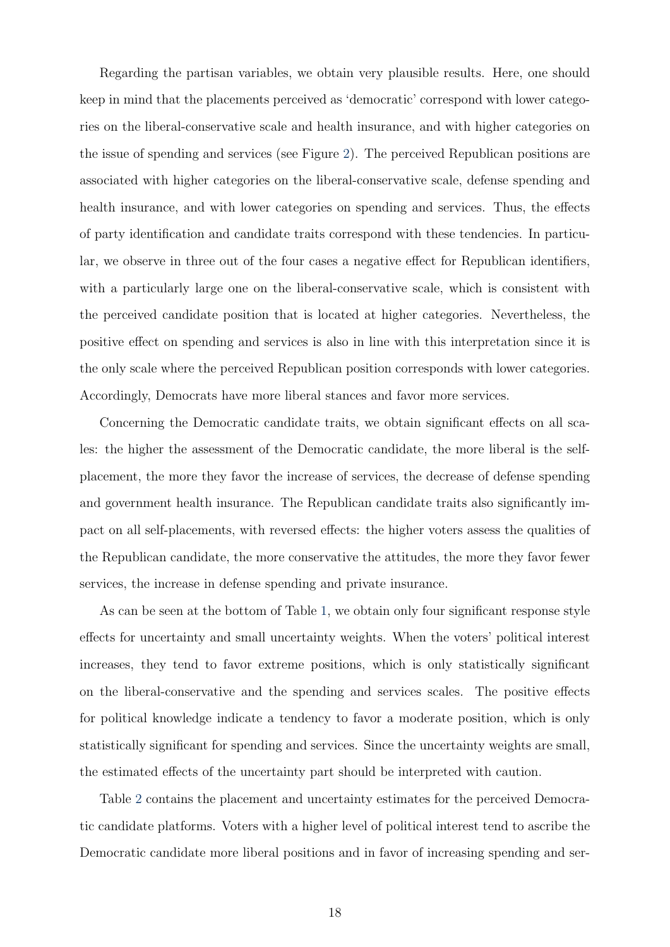Regarding the partisan variables, we obtain very plausible results. Here, one should keep in mind that the placements perceived as 'democratic' correspond with lower categories on the liberal-conservative scale and health insurance, and with higher categories on the issue of spending and services (see Figure 2). The perceived Republican positions are associated with higher categories on the liberal-conservative scale, defense spending and health insurance, and with lower categories on spending and services. Thus, the effects of party identification and candidate traits correspond with these tendencies. In particular, we observe in three out of the four cases a negative effect for Republican identifiers, with a particularly large one on the liberal-conservative scale, which is consistent with the perceived candidate position that is located at higher categories. Nevertheless, the positive effect on spending and services is also in line with this interpretation since it is the only scale where the perceived Republican position corresponds with lower categories. Accordingly, Democrats have more liberal stances and favor more services.

Concerning the Democratic candidate traits, we obtain significant effects on all scales: the higher the assessment of the Democratic candidate, the more liberal is the selfplacement, the more they favor the increase of services, the decrease of defense spending and government health insurance. The Republican candidate traits also significantly impact on all self-placements, with reversed effects: the higher voters assess the qualities of the Republican candidate, the more conservative the attitudes, the more they favor fewer services, the increase in defense spending and private insurance.

As can be seen at the bottom of Table 1, we obtain only four significant response style effects for uncertainty and small uncertainty weights. When the voters' political interest increases, they tend to favor extreme positions, which is only statistically significant on the liberal-conservative and the spending and services scales. The positive effects for political knowledge indicate a tendency to favor a moderate position, which is only statistically significant for spending and services. Since the uncertainty weights are small, the estimated effects of the uncertainty part should be interpreted with caution.

Table 2 contains the placement and uncertainty estimates for the perceived Democratic candidate platforms. Voters with a higher level of political interest tend to ascribe the Democratic candidate more liberal positions and in favor of increasing spending and ser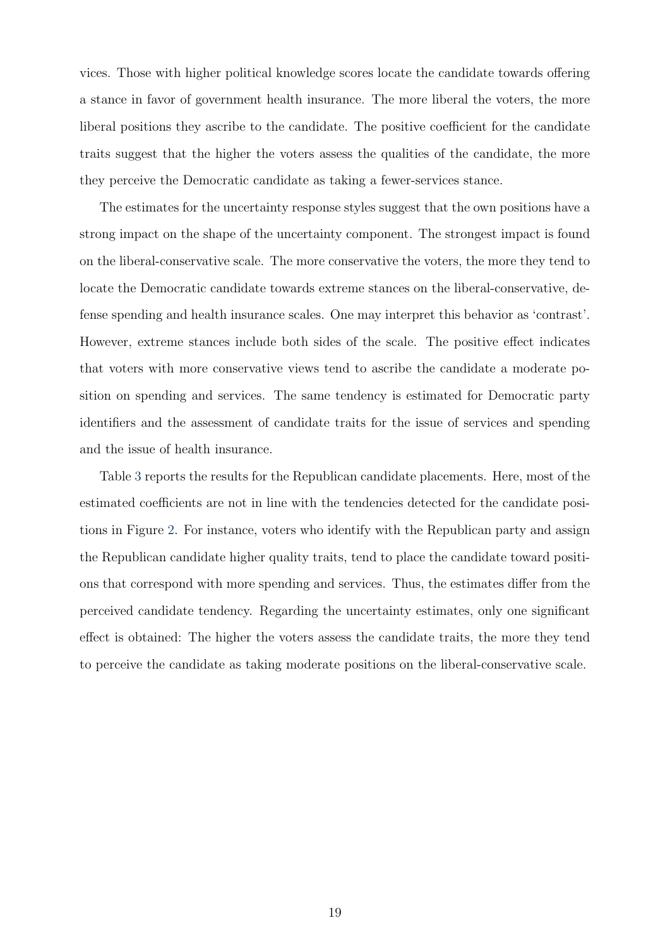vices. Those with higher political knowledge scores locate the candidate towards offering a stance in favor of government health insurance. The more liberal the voters, the more liberal positions they ascribe to the candidate. The positive coefficient for the candidate traits suggest that the higher the voters assess the qualities of the candidate, the more they perceive the Democratic candidate as taking a fewer-services stance.

The estimates for the uncertainty response styles suggest that the own positions have a strong impact on the shape of the uncertainty component. The strongest impact is found on the liberal-conservative scale. The more conservative the voters, the more they tend to locate the Democratic candidate towards extreme stances on the liberal-conservative, defense spending and health insurance scales. One may interpret this behavior as 'contrast'. However, extreme stances include both sides of the scale. The positive effect indicates that voters with more conservative views tend to ascribe the candidate a moderate position on spending and services. The same tendency is estimated for Democratic party identifiers and the assessment of candidate traits for the issue of services and spending and the issue of health insurance.

Table 3 reports the results for the Republican candidate placements. Here, most of the estimated coefficients are not in line with the tendencies detected for the candidate positions in Figure 2. For instance, voters who identify with the Republican party and assign the Republican candidate higher quality traits, tend to place the candidate toward positions that correspond with more spending and services. Thus, the estimates differ from the perceived candidate tendency. Regarding the uncertainty estimates, only one significant effect is obtained: The higher the voters assess the candidate traits, the more they tend to perceive the candidate as taking moderate positions on the liberal-conservative scale.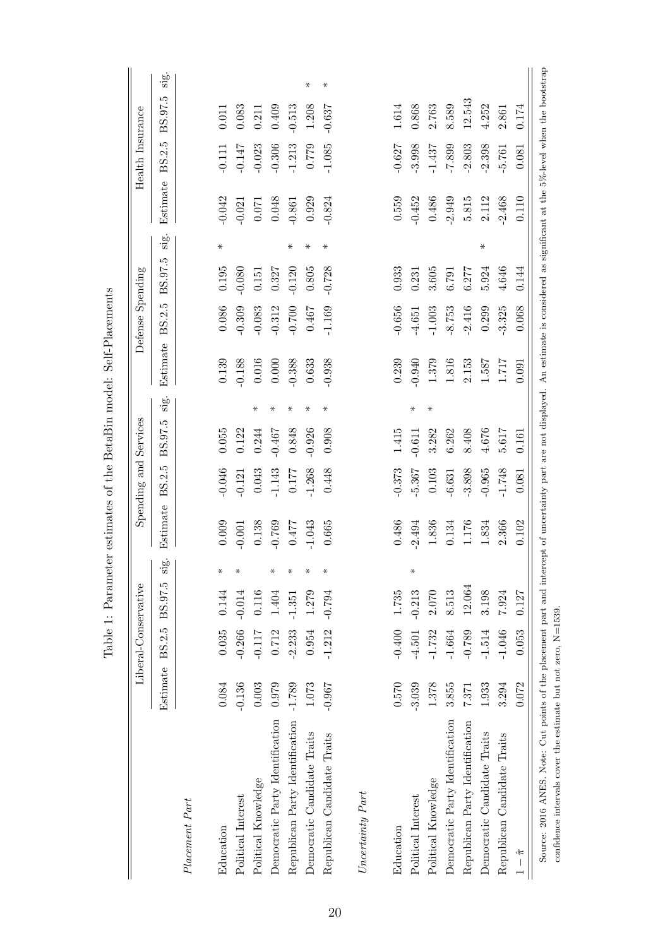|                                                                                                                                                                                            |          | Liberal-Conservative |          |                                |          |           | Spending and Services |             |          | Defense Spending |          |        |          | Health Insurance |          |        |
|--------------------------------------------------------------------------------------------------------------------------------------------------------------------------------------------|----------|----------------------|----------|--------------------------------|----------|-----------|-----------------------|-------------|----------|------------------|----------|--------|----------|------------------|----------|--------|
|                                                                                                                                                                                            | Estimate | BS.2.5               | BS.97.5  | $\dot{\omega}$  <br>. <u>भ</u> | Estimate | BS.2.5    | BS.97.5               | $\cdot$ ig. | Estimate | BS.2.5           | BS.97.5  | sig.   | Estimate | BS.2.5           | BS.97.5  | sig.   |
| Placement Part                                                                                                                                                                             |          |                      |          |                                |          |           |                       |             |          |                  |          |        |          |                  |          |        |
| Education                                                                                                                                                                                  | 0.084    | 0.035                | 0.144    | $\ast$                         | 0.009    | $-0.046$  | 0.055                 |             | 0.139    | 0.086            | 0.195    | ⋇      | $-0.042$ | $-0.111$         | 0.011    |        |
| Political Interest                                                                                                                                                                         | $-0.136$ | $-0.266$             | $-0.014$ | $\ast$                         | $-0.001$ | $-0.121$  | 0.122                 |             | $-0.188$ | $-0.309$         | $-0.080$ |        | $-0.021$ | $-0.147$         | 0.083    |        |
| Political Knowledge                                                                                                                                                                        | 0.003    | $-0.117$             | 0.116    |                                | 0.138    | 0.043     | 0.244                 | $\ast$      | 0.016    | $-0.083$         | 0.151    |        | 0.071    | $-0.023$         | 0.211    |        |
| Democratic Party Identification                                                                                                                                                            | 0.979    | 0.712                | 1.404    | $\ast$                         | $-0.769$ | $-1.143$  | $-0.467$              | $\ast$      | 0.000    | $-0.312$         | 0.327    |        | 0.048    | $-0.306$         | 0.409    |        |
| Republican Party Identification                                                                                                                                                            | $-1.789$ | $-2.233$             | $-1.351$ | $\ast$                         | 0.477    | 0.177     | 0.848                 | $\ast$      | $-0.388$ | $-0.700$         | $-0.120$ | $\ast$ | $-0.861$ | $-1.213$         | $-0.513$ |        |
| Democratic Candidate Traits                                                                                                                                                                | 1.073    | 0.954                | 1.279    | $\ast$                         | $-1.043$ | $-1.268$  | $-0.926$              | $\ast$      | 0.633    | 0.467            | 0.805    | $\ast$ | 0.929    | 0.779            | 1.208    | $\ast$ |
| Republican Candidate Traits                                                                                                                                                                | $-0.967$ | $-1.212$             | -0.794   | $\ast$                         | 0.665    | 0.448     | 0.908                 | ⋇           | $-0.938$ | $-1.169$         | $-0.728$ | $\ast$ | $-0.824$ | $-1.085$         | $-0.637$ | $\ast$ |
|                                                                                                                                                                                            |          |                      |          |                                |          |           |                       |             |          |                  |          |        |          |                  |          |        |
| Uncertainty Part                                                                                                                                                                           |          |                      |          |                                |          |           |                       |             |          |                  |          |        |          |                  |          |        |
| Education                                                                                                                                                                                  | 0.570    | $-0.400$             | 1.735    |                                | 0.486    | $-0.373$  | 1.415                 |             | 0.239    | $-0.656$         | 0.933    |        | 0.559    | $-0.627$         | 1.614    |        |
| Political Interest                                                                                                                                                                         | $-3.039$ | $-4.501$             | $-0.213$ | $\ast$                         | $-2.494$ | $-5.367$  | $-0.611$              | $\ast$      | $-0.940$ | $-4.651$         | 0.231    |        | $-0.452$ | $-3.998$         | 0.868    |        |
| Political Knowledge                                                                                                                                                                        | 1.378    | $-1.732$             | 2.070    |                                | 1.836    | $0.103\,$ | 3.282                 | $\ast$      | 1.379    | $-1.003$         | 3.605    |        | 0.486    | $-1.437$         | 2.763    |        |
| Democratic Party Identification                                                                                                                                                            | 3.855    | $-1.664$             | 8.513    |                                | 0.134    | $-6.631$  | 6.262                 |             | 1.816    | $-8.753$         | 6.791    |        | $-2.949$ | $-7.899$         | 8.589    |        |
| Republican Party Identification                                                                                                                                                            | 7.371    | $-0.789$             | 12.064   |                                | 1.176    | $-3.898$  | 8.408                 |             | 2.153    | $-2.416$         | 6.277    |        | 5.815    | $-2.803$         | 12.543   |        |
| Democratic Candidate Traits                                                                                                                                                                | 1.933    | $-1.514$             | 3.198    |                                | 1.834    | $-0.965$  | 4.676                 |             | 1.587    | 0.299            | 5.924    | $\ast$ | 2.112    | $-2.398$         | 4.252    |        |
| Republican Candidate Traits                                                                                                                                                                | 3.294    | $-1.046$             | 7.924    |                                | 2.366    | $-1.748$  | 5.617                 |             | 1.717    | $-3.325$         | 4.646    |        | $-2.468$ | $-5.761$         | 2.861    |        |
| $1-\hat{\pi}$                                                                                                                                                                              | 0.072    | 0.053                | 0.127    |                                | 0.102    | 0.081     | 0.161                 |             | 0.091    | 0.068            | 0.144    |        | 0.110    | 0.081            | 0.174    |        |
| Source: 2016 ANES. Note: Cut points of the placement part and intercept of uncertainty part are not displayed. An estimate is considered as significant at the 5%-level when the bootstrap |          |                      |          |                                |          |           |                       |             |          |                  |          |        |          |                  |          |        |

Table 1: Parameter estimates of the BetaBin model: Self-Placements Table 1: Parameter estimates of the BetaBin model: Self-Placements

confidence intervals cover the estimate but not zero, N=1539.

confidence intervals cover the estimate but not zero,  ${\rm N}{=}1539.$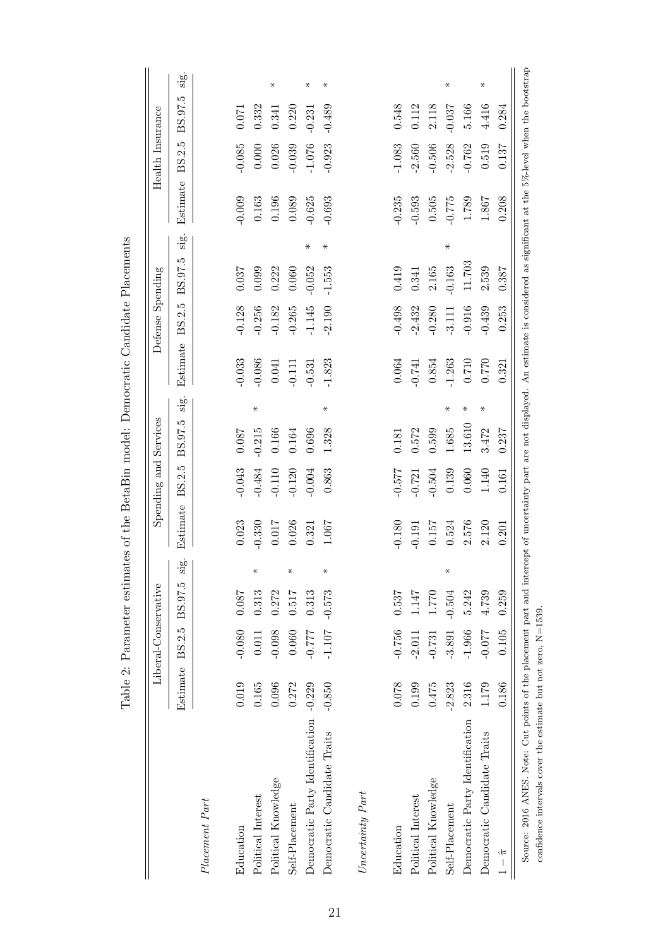|                                 |                 | Liberal-Conservative |           |            |          | Spending and Services |          |        |           | Defense Spending |          |        |          | Health Insurance |          |               |
|---------------------------------|-----------------|----------------------|-----------|------------|----------|-----------------------|----------|--------|-----------|------------------|----------|--------|----------|------------------|----------|---------------|
|                                 | Estimate BS.2.5 |                      | BS.97.5   | $\cdot$ sg | Estimate | BS.2.5                | BS.97.5  | sig.   | Estimate  | BS.2.5           | BS.97.5  | sig.   | Estimate | BS.2.5           | BS.97.5  | $\frac{1}{2}$ |
| Placement Part                  |                 |                      |           |            |          |                       |          |        |           |                  |          |        |          |                  |          |               |
| Education                       | 0.019           | $-0.080$             | 0.087     |            | 0.023    | $-0.043$              | 0.087    |        | $-0.033$  | $-0.128$         | 0.037    |        | $-0.009$ | $-0.085$         | 0.071    |               |
| Political Interest              | 0.165           | 0.011                | 0.313     | $\ast$     | $-0.330$ | $-0.484$              | $-0.215$ | ⋇      | $-0.086$  | $-0.256$         | 0.099    |        | 0.163    | 0.000            | 0.332    |               |
| Political Knowledge             | 0.096           | $-0.098$             | 0.272     |            | 0.017    | $-0.110$              | 0.166    |        | 0.041     | $-0.182$         | 0.222    |        | 0.196    | 0.026            | 0.341    | $\ast$        |
| Self-Placement                  | 0.272           | 0.060                | 0.517     | $\star$    | 0.026    | $-0.120$              | 0.164    |        | $-0.111$  | $-0.265$         | 0.060    |        | 0.089    | $-0.039$         | 0.220    |               |
| Democratic Party Identification | $-0.229$        | $777.0 -$            | 0.313     |            | 0.321    | $-0.004$              | 0.696    |        | $-0.531$  | $-1.145$         | $-0.052$ | $\ast$ | $-0.625$ | $-1.076$         | $-0.231$ | ⋇             |
| Democratic Candidate Traits     | $-0.850$        | $-1.107$             | $-0.573$  | $\ast$     | 1.067    | 0.863                 | 1.328    | $\ast$ | $-1.823$  | $-2.190$         | $-1.553$ | ⋇      | $-0.693$ | $-0.923$         | $-0.489$ | $\ast$        |
| Uncertainty Part                |                 |                      |           |            |          |                       |          |        |           |                  |          |        |          |                  |          |               |
| Education                       | 0.078           | $-0.756$             | 0.537     |            | $-0.180$ | $-0.577$              | 0.181    |        | 0.064     | $-0.498$         | 0.419    |        | $-0.235$ | $-1.083$         | 0.548    |               |
| Political Interest              | 0.199           | $-2.011$             | 1.147     |            | $-0.191$ | $-0.721$              | 0.572    |        | $-0.741$  | $-2.432$         | 0.341    |        | $-0.593$ | $-2.560$         | 0.112    |               |
| Political Knowledge             | 0.475           | $-0.731$             | $1.770\,$ |            | 0.157    | $-0.504$              | 0.599    |        | 0.854     | $-0.280$         | 2.165    |        | 0.505    | $-0.506$         | 2.118    |               |
| Self-Placement                  | $-2.823$        | $-3.891$             | $-0.504$  | $\ast$     | 0.524    | 0.139                 | 1.685    | $\ast$ | $-1.263$  | $-3.111$         | $-0.163$ | $\ast$ | $-0.775$ | $-2.528$         | $-0.037$ | $\ast$        |
| Democratic Party Identification | 2.316           | $-1.966$             | 5.242     |            | 2.576    | 0.060                 | 13.610   | ⋇      | 0.710     | $-0.916$         | 11.703   |        | 1.789    | $-0.762$         | 5.166    |               |
| Democratic Candidate Traits     | 1.179           | $-0.077$             | 4.739     |            | 2.120    | 1.140                 | 3.472    | ⋇      | $0.770\,$ | $-0.439$         | 2.539    |        | 1.867    | 0.519            | 4.416    | $\ast$        |
| $1-\hat{\pi}$                   | 0.186           | 0.105                | 0.259     |            | 0.201    | 0.161                 | 0.237    |        | 0.321     | 0.253            | 0.387    |        | 0.208    | 0.137            | 0.284    |               |

Table 2: Parameter estimates of the BetaBin model: Democratic Candidate Placements  $\overline{\text{did}}_{\text{a}}$  $\zeta$  $\ddot{ }$ :  $\overline{d}$ . De  $B_{\alpha\pm\alpha}$ Bir  $A_{+}$ J.  $\ddot{x}$  $\frac{1}{2}$ Table 2: Pa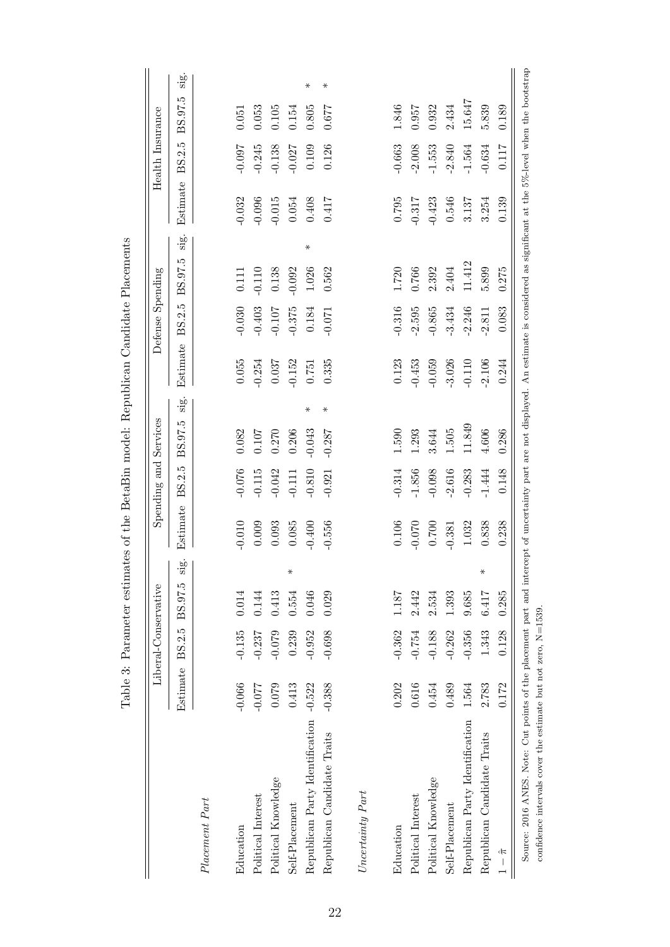|                                 |          | Liberal-Conservative |         |                         |           | Spending and Services |                    |      |          | Defense Spending |          |      |          | Health Insurance |         |
|---------------------------------|----------|----------------------|---------|-------------------------|-----------|-----------------------|--------------------|------|----------|------------------|----------|------|----------|------------------|---------|
|                                 | Estimate | BS.2.5               | BS.97.5 | $\dot{\mathbf{g}}$<br>S | Estimate  | BS.2.5                | BS.97.5            | sig. | Estimate | BS.2.5           | BS.97.5  | sig. | Estimate | BS.2.5           | BS.97.5 |
| Placement Part                  |          |                      |         |                         |           |                       |                    |      |          |                  |          |      |          |                  |         |
| Education                       | $-0.066$ | $-0.135$             | 0.014   |                         | $-0.010$  | $-0.076$              | 0.082              |      | 0.055    | $-0.030$         | 0.111    |      | $-0.032$ | $-0.097$         | 0.051   |
| Political Interest              | $-0.077$ | $-0.237$             | 0.144   |                         | 0.009     | $-0.115$              | 0.107              |      | $-0.254$ | $-0.403$         | $-0.110$ |      | $-0.096$ | $-0.245$         | 0.053   |
| Political Knowledge             | 0.079    | $-0.079$             | 0.413   |                         | 0.093     | $-0.042$              | 0.270              |      | 0.037    | $-0.107$         | 0.138    |      | $-0.015$ | $-0.138$         | 0.105   |
| Self-Placement                  | 0.413    | 0.239                | 0.554   | $\ast$                  | 0.085     | $-0.111$              | 0.206              |      | $-0.152$ | $-0.375$         | $-0.092$ |      | 0.054    | $-0.027$         | 0.154   |
| Republican Party Identification | $-0.522$ | $-0.952$             | 0.046   |                         | $-0.400$  | $-0.810$              | ⋇<br>$-0.043$      |      | 0.751    | 0.184            | 1.026    | ⋇    | 0.408    | 0.109            | 0.805   |
| Republican Candidate Traits     | $-0.388$ | $-0.698$             | 0.029   |                         | $-0.556$  | $-0.921$              | $\ast$<br>$-0.287$ |      | 0.335    | $-0.071$         | 0.562    |      | 0.417    | 0.126            | 1290    |
| $Uncertainty$ $Part$            |          |                      |         |                         |           |                       |                    |      |          |                  |          |      |          |                  |         |
| Education                       | 0.202    | $-0.362$             | 1.187   |                         | 0.106     | $-0.314$              | 1.590              |      | 0.123    | $-0.316$         | 1.720    |      | 0.795    | $-0.663$         | 1.846   |
| Political Interest              | 0.616    | $-0.754$             | 2.442   |                         | $-0.070$  | $-1.856$              | 1.293              |      | $-0.453$ | $-2.595$         | 0.766    |      | $-0.317$ | $-2.008$         | 0.957   |
| Political Knowledge             | 0.454    | $-0.188$             | 2.534   |                         | $0.700\,$ | $-0.098$              | 3.644              |      | $-0.059$ | $-0.865$         | 2.392    |      | $-0.423$ | $-1.553$         | 0.932   |
| Self-Placement                  | 0.489    | $-0.262$             | 1.393   |                         | $-0.381$  | $-2.616$              | $1.505\,$          |      | $-3.026$ | $-3.434$         | 2.404    |      | 0.546    | $-2.840$         | 2.434   |
| Republican Party Identification | 1.564    | $-0.356$             | 9.685   |                         | 1.032     | $-0.283$              | 11.849             |      | $-0.110$ | $-2.246$         | 11.412   |      | 3.137    | $-1.564$         | 15.647  |
| Republican Candidate Traits     | 2.783    | 1.343                | 6.417   | $\ast$                  | 0.838     | $-1.444$              | 4.606              |      | $-2.106$ | $-2.811$         | 5.899    |      | 3.254    | $-0.634$         | 5.839   |
| $1-\hat{\pi}$                   | 0.172    | 0.128                | 0.285   |                         | 0.238     | 0.148                 | 0.286              |      | 0.244    | 0.083            | 0.275    |      | 0.139    | 0.117            | 0.189   |

 $\overline{c}$ ÷  $\zeta$  $\frac{1}{2}$  $\mathfrak{c}$ l, l, Ė  $\mathsf{C}$ l.  $\epsilon$  $\cdot$  $\epsilon$  $\ddot{\phantom{0}}$  $T_{\rm e}$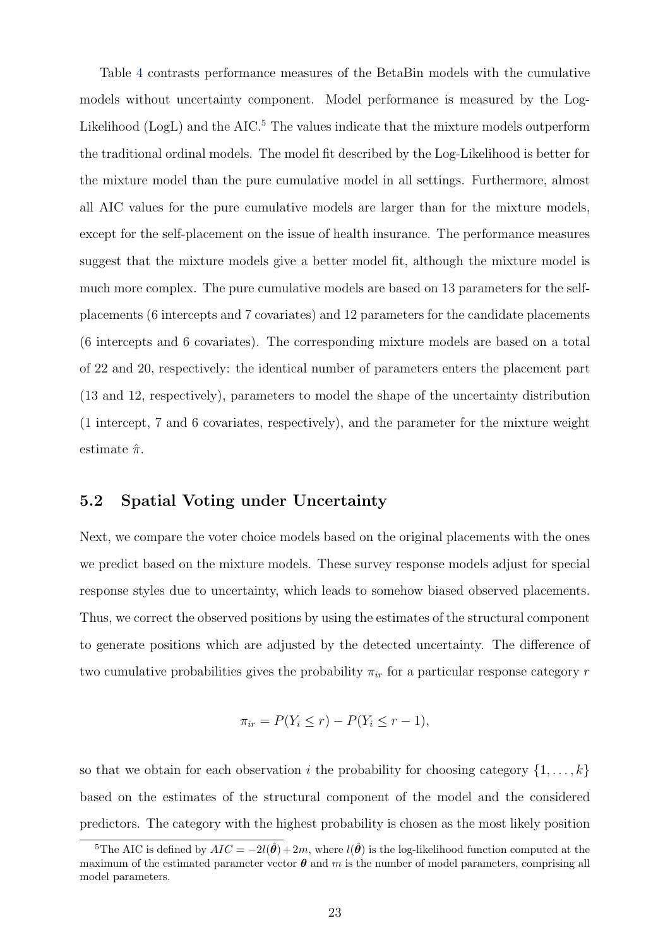Table 4 contrasts performance measures of the BetaBin models with the cumulative models without uncertainty component. Model performance is measured by the Log-Likelihood  $(Log L)$  and the AIC.<sup>5</sup> The values indicate that the mixture models outperform the traditional ordinal models. The model fit described by the Log-Likelihood is better for the mixture model than the pure cumulative model in all settings. Furthermore, almost all AIC values for the pure cumulative models are larger than for the mixture models, except for the self-placement on the issue of health insurance. The performance measures suggest that the mixture models give a better model fit, although the mixture model is much more complex. The pure cumulative models are based on 13 parameters for the selfplacements (6 intercepts and 7 covariates) and 12 parameters for the candidate placements (6 intercepts and 6 covariates). The corresponding mixture models are based on a total of 22 and 20, respectively: the identical number of parameters enters the placement part (13 and 12, respectively), parameters to model the shape of the uncertainty distribution (1 intercept, 7 and 6 covariates, respectively), and the parameter for the mixture weight estimate  $\hat{\pi}$ .

#### 5.2 Spatial Voting under Uncertainty

Next, we compare the voter choice models based on the original placements with the ones we predict based on the mixture models. These survey response models adjust for special response styles due to uncertainty, which leads to somehow biased observed placements. Thus, we correct the observed positions by using the estimates of the structural component to generate positions which are adjusted by the detected uncertainty. The difference of two cumulative probabilities gives the probability  $\pi_{ir}$  for a particular response category r

$$
\pi_{ir} = P(Y_i \le r) - P(Y_i \le r - 1),
$$

so that we obtain for each observation i the probability for choosing category  $\{1, \ldots, k\}$ based on the estimates of the structural component of the model and the considered predictors. The category with the highest probability is chosen as the most likely position

<sup>&</sup>lt;sup>5</sup>The AIC is defined by  $AIC = -2l(\hat{\theta})+2m$ , where  $l(\hat{\theta})$  is the log-likelihood function computed at the maximum of the estimated parameter vector  $\theta$  and m is the number of model parameters, comprising all model parameters.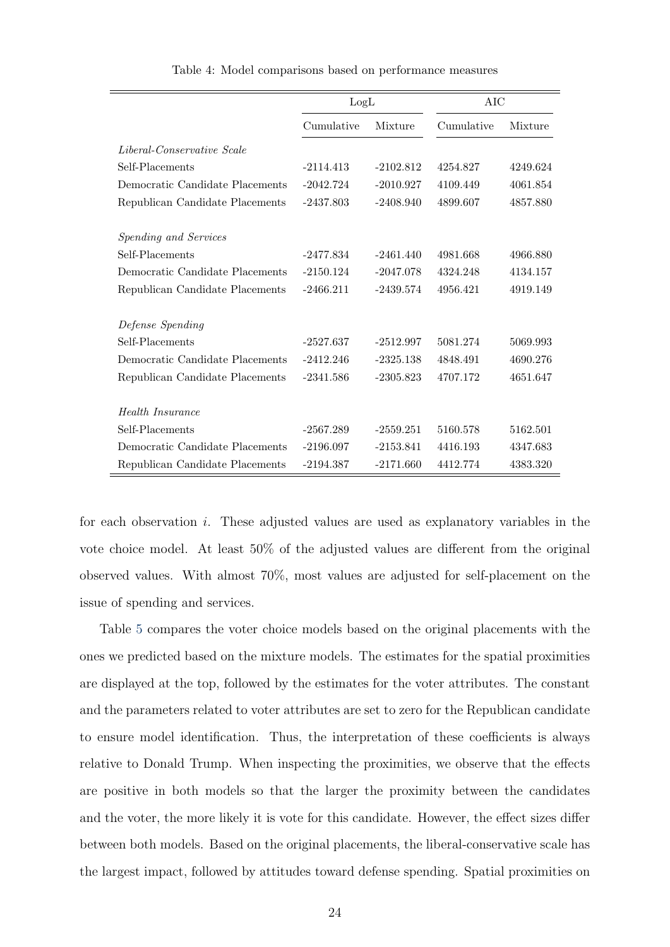|                                 | LogL        |             | AIC        |          |
|---------------------------------|-------------|-------------|------------|----------|
|                                 | Cumulative  | Mixture     | Cumulative | Mixture  |
| Liberal-Conservative Scale      |             |             |            |          |
| Self-Placements                 | $-2114.413$ | $-2102.812$ | 4254.827   | 4249.624 |
| Democratic Candidate Placements | $-2042.724$ | $-2010.927$ | 4109.449   | 4061.854 |
| Republican Candidate Placements | $-2437.803$ | $-2408.940$ | 4899.607   | 4857.880 |
|                                 |             |             |            |          |
| Spending and Services           |             |             |            |          |
| Self-Placements                 | $-2477.834$ | $-2461.440$ | 4981.668   | 4966.880 |
| Democratic Candidate Placements | $-2150.124$ | $-2047.078$ | 4324.248   | 4134.157 |
| Republican Candidate Placements | $-2466.211$ | $-2439.574$ | 4956.421   | 4919.149 |
| Defense Spending                |             |             |            |          |
| Self-Placements                 | $-2527.637$ | $-2512.997$ | 5081.274   | 5069.993 |
| Democratic Candidate Placements | $-2412.246$ | $-2325.138$ | 4848.491   | 4690.276 |
| Republican Candidate Placements | $-2341.586$ | $-2305.823$ | 4707.172   | 4651.647 |
| Health Insurance                |             |             |            |          |
| Self-Placements                 | $-2567.289$ | $-2559.251$ | 5160.578   | 5162.501 |
|                                 |             |             |            |          |
| Democratic Candidate Placements | $-2196.097$ | $-2153.841$ | 4416.193   | 4347.683 |
| Republican Candidate Placements | $-2194.387$ | $-2171.660$ | 4412.774   | 4383.320 |

Table 4: Model comparisons based on performance measures

ċ

for each observation i. These adjusted values are used as explanatory variables in the vote choice model. At least 50% of the adjusted values are different from the original observed values. With almost 70%, most values are adjusted for self-placement on the issue of spending and services.

Table 5 compares the voter choice models based on the original placements with the ones we predicted based on the mixture models. The estimates for the spatial proximities are displayed at the top, followed by the estimates for the voter attributes. The constant and the parameters related to voter attributes are set to zero for the Republican candidate to ensure model identification. Thus, the interpretation of these coefficients is always relative to Donald Trump. When inspecting the proximities, we observe that the effects are positive in both models so that the larger the proximity between the candidates and the voter, the more likely it is vote for this candidate. However, the effect sizes differ between both models. Based on the original placements, the liberal-conservative scale has the largest impact, followed by attitudes toward defense spending. Spatial proximities on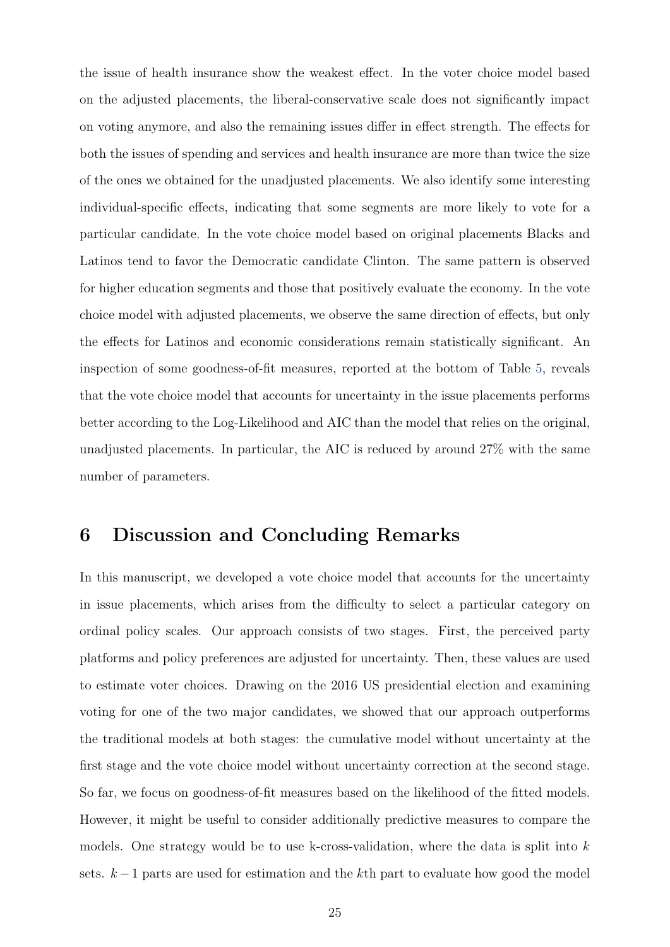the issue of health insurance show the weakest effect. In the voter choice model based on the adjusted placements, the liberal-conservative scale does not significantly impact on voting anymore, and also the remaining issues differ in effect strength. The effects for both the issues of spending and services and health insurance are more than twice the size of the ones we obtained for the unadjusted placements. We also identify some interesting individual-specific effects, indicating that some segments are more likely to vote for a particular candidate. In the vote choice model based on original placements Blacks and Latinos tend to favor the Democratic candidate Clinton. The same pattern is observed for higher education segments and those that positively evaluate the economy. In the vote choice model with adjusted placements, we observe the same direction of effects, but only the effects for Latinos and economic considerations remain statistically significant. An inspection of some goodness-of-fit measures, reported at the bottom of Table 5, reveals that the vote choice model that accounts for uncertainty in the issue placements performs better according to the Log-Likelihood and AIC than the model that relies on the original, unadjusted placements. In particular, the AIC is reduced by around 27% with the same number of parameters.

### 6 Discussion and Concluding Remarks

In this manuscript, we developed a vote choice model that accounts for the uncertainty in issue placements, which arises from the difficulty to select a particular category on ordinal policy scales. Our approach consists of two stages. First, the perceived party platforms and policy preferences are adjusted for uncertainty. Then, these values are used to estimate voter choices. Drawing on the 2016 US presidential election and examining voting for one of the two major candidates, we showed that our approach outperforms the traditional models at both stages: the cumulative model without uncertainty at the first stage and the vote choice model without uncertainty correction at the second stage. So far, we focus on goodness-of-fit measures based on the likelihood of the fitted models. However, it might be useful to consider additionally predictive measures to compare the models. One strategy would be to use k-cross-validation, where the data is split into  $k$ sets.  $k-1$  parts are used for estimation and the kth part to evaluate how good the model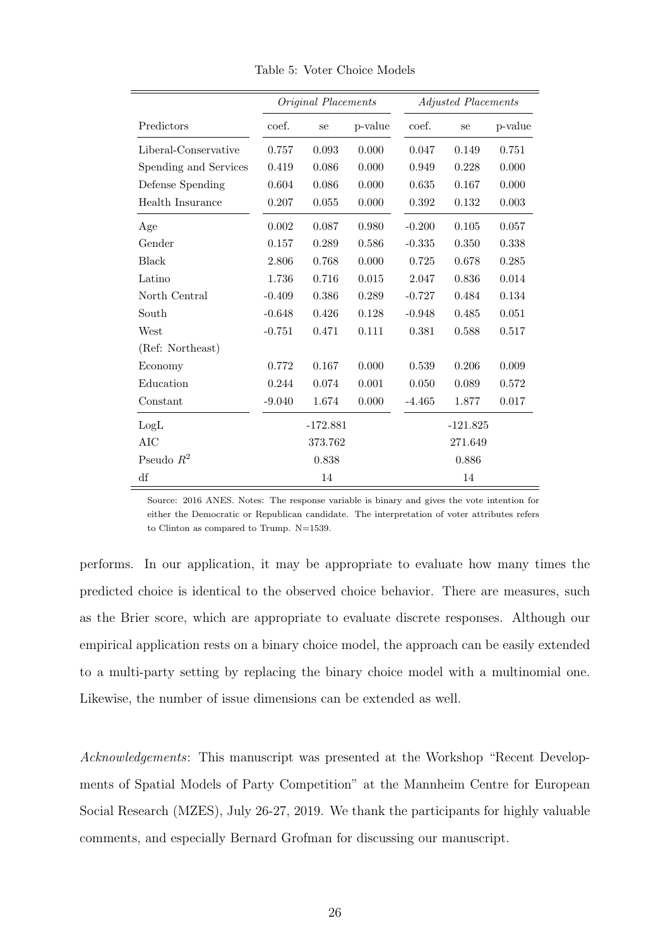|                       |          | Original Placements |         |          | <b>Adjusted Placements</b> |         |
|-----------------------|----------|---------------------|---------|----------|----------------------------|---------|
| Predictors            | coef.    | se                  | p-value | coef.    | se                         | p-value |
| Liberal-Conservative  | 0.757    | 0.093               | 0.000   | 0.047    | 0.149                      | 0.751   |
| Spending and Services | 0.419    | 0.086               | 0.000   | 0.949    | 0.228                      | 0.000   |
| Defense Spending      | 0.604    | 0.086               | 0.000   | 0.635    | 0.167                      | 0.000   |
| Health Insurance      | 0.207    | 0.055               | 0.000   | 0.392    | 0.132                      | 0.003   |
| Age                   | 0.002    | 0.087               | 0.980   | $-0.200$ | 0.105                      | 0.057   |
| Gender                | 0.157    | 0.289               | 0.586   | $-0.335$ | 0.350                      | 0.338   |
| Black                 | 2.806    | 0.768               | 0.000   | 0.725    | 0.678                      | 0.285   |
| Latino                | 1.736    | 0.716               | 0.015   | 2.047    | 0.836                      | 0.014   |
| North Central         | $-0.409$ | 0.386               | 0.289   | $-0.727$ | 0.484                      | 0.134   |
| South                 | $-0.648$ | 0.426               | 0.128   | $-0.948$ | 0.485                      | 0.051   |
| West                  | $-0.751$ | 0.471               | 0.111   | 0.381    | 0.588                      | 0.517   |
| (Ref: Northeast)      |          |                     |         |          |                            |         |
| Economy               | 0.772    | 0.167               | 0.000   | 0.539    | 0.206                      | 0.009   |
| Education             | 0.244    | 0.074               | 0.001   | 0.050    | 0.089                      | 0.572   |
| Constant              | $-9.040$ | 1.674               | 0.000   | $-4.465$ | 1.877                      | 0.017   |
| LogL                  |          | $-172.881$          |         |          | $-121.825$                 |         |
| AIC                   |          | 373.762             |         |          | 271.649                    |         |
| Pseudo $R^2$          |          | 0.838               |         |          | 0.886                      |         |
| df                    |          | 14                  |         |          | 14                         |         |

Table 5: Voter Choice Models

Source: 2016 ANES. Notes: The response variable is binary and gives the vote intention for either the Democratic or Republican candidate. The interpretation of voter attributes refers to Clinton as compared to Trump. N=1539.

performs. In our application, it may be appropriate to evaluate how many times the predicted choice is identical to the observed choice behavior. There are measures, such as the Brier score, which are appropriate to evaluate discrete responses. Although our empirical application rests on a binary choice model, the approach can be easily extended to a multi-party setting by replacing the binary choice model with a multinomial one. Likewise, the number of issue dimensions can be extended as well.

Acknowledgements: This manuscript was presented at the Workshop "Recent Developments of Spatial Models of Party Competition" at the Mannheim Centre for European Social Research (MZES), July 26-27, 2019. We thank the participants for highly valuable comments, and especially Bernard Grofman for discussing our manuscript.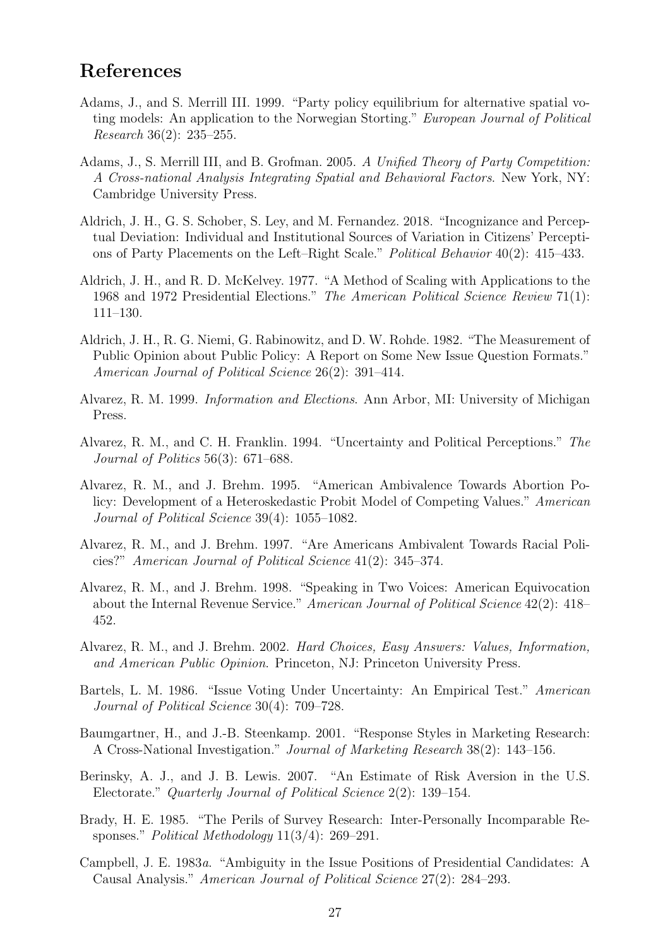## References

- Adams, J., and S. Merrill III. 1999. "Party policy equilibrium for alternative spatial voting models: An application to the Norwegian Storting." European Journal of Political Research 36(2): 235–255.
- Adams, J., S. Merrill III, and B. Grofman. 2005. A Unified Theory of Party Competition: A Cross-national Analysis Integrating Spatial and Behavioral Factors. New York, NY: Cambridge University Press.
- Aldrich, J. H., G. S. Schober, S. Ley, and M. Fernandez. 2018. "Incognizance and Perceptual Deviation: Individual and Institutional Sources of Variation in Citizens' Perceptions of Party Placements on the Left–Right Scale." Political Behavior 40(2): 415–433.
- Aldrich, J. H., and R. D. McKelvey. 1977. "A Method of Scaling with Applications to the 1968 and 1972 Presidential Elections." The American Political Science Review 71(1): 111–130.
- Aldrich, J. H., R. G. Niemi, G. Rabinowitz, and D. W. Rohde. 1982. "The Measurement of Public Opinion about Public Policy: A Report on Some New Issue Question Formats." American Journal of Political Science 26(2): 391–414.
- Alvarez, R. M. 1999. Information and Elections. Ann Arbor, MI: University of Michigan Press.
- Alvarez, R. M., and C. H. Franklin. 1994. "Uncertainty and Political Perceptions." The Journal of Politics 56(3): 671–688.
- Alvarez, R. M., and J. Brehm. 1995. "American Ambivalence Towards Abortion Policy: Development of a Heteroskedastic Probit Model of Competing Values." American Journal of Political Science 39(4): 1055–1082.
- Alvarez, R. M., and J. Brehm. 1997. "Are Americans Ambivalent Towards Racial Policies?" American Journal of Political Science 41(2): 345–374.
- Alvarez, R. M., and J. Brehm. 1998. "Speaking in Two Voices: American Equivocation about the Internal Revenue Service." American Journal of Political Science 42(2): 418– 452.
- Alvarez, R. M., and J. Brehm. 2002. Hard Choices, Easy Answers: Values, Information, and American Public Opinion. Princeton, NJ: Princeton University Press.
- Bartels, L. M. 1986. "Issue Voting Under Uncertainty: An Empirical Test." American Journal of Political Science 30(4): 709–728.
- Baumgartner, H., and J.-B. Steenkamp. 2001. "Response Styles in Marketing Research: A Cross-National Investigation." Journal of Marketing Research 38(2): 143–156.
- Berinsky, A. J., and J. B. Lewis. 2007. "An Estimate of Risk Aversion in the U.S. Electorate." Quarterly Journal of Political Science 2(2): 139–154.
- Brady, H. E. 1985. "The Perils of Survey Research: Inter-Personally Incomparable Responses." Political Methodology 11(3/4): 269–291.
- Campbell, J. E. 1983a. "Ambiguity in the Issue Positions of Presidential Candidates: A Causal Analysis." American Journal of Political Science 27(2): 284–293.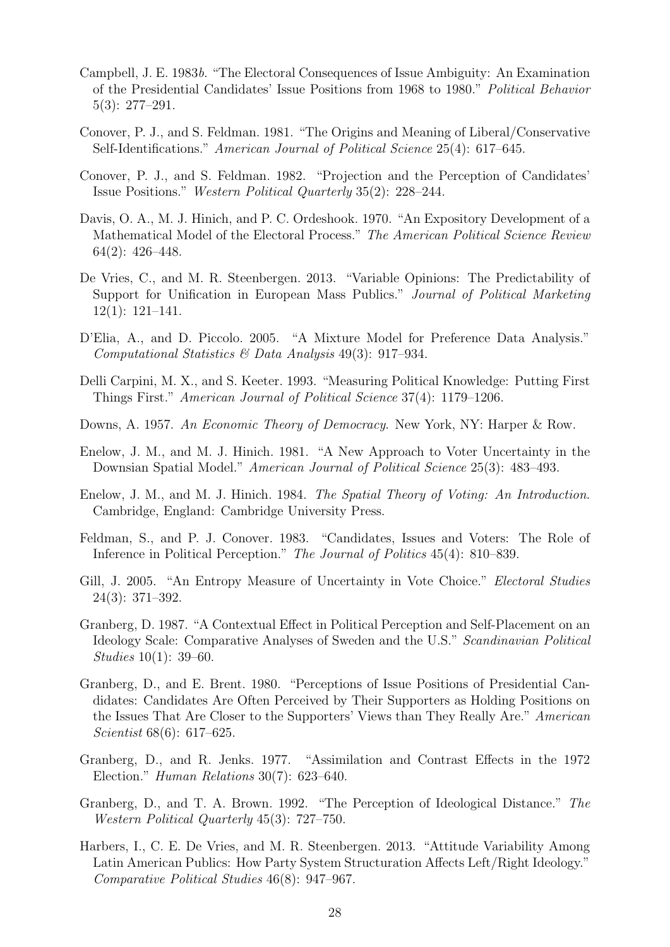- Campbell, J. E. 1983b. "The Electoral Consequences of Issue Ambiguity: An Examination of the Presidential Candidates' Issue Positions from 1968 to 1980." Political Behavior 5(3): 277–291.
- Conover, P. J., and S. Feldman. 1981. "The Origins and Meaning of Liberal/Conservative Self-Identifications." American Journal of Political Science 25(4): 617–645.
- Conover, P. J., and S. Feldman. 1982. "Projection and the Perception of Candidates' Issue Positions." Western Political Quarterly 35(2): 228–244.
- Davis, O. A., M. J. Hinich, and P. C. Ordeshook. 1970. "An Expository Development of a Mathematical Model of the Electoral Process." The American Political Science Review 64(2): 426–448.
- De Vries, C., and M. R. Steenbergen. 2013. "Variable Opinions: The Predictability of Support for Unification in European Mass Publics." Journal of Political Marketing 12(1): 121–141.
- D'Elia, A., and D. Piccolo. 2005. "A Mixture Model for Preference Data Analysis." Computational Statistics & Data Analysis 49(3): 917–934.
- Delli Carpini, M. X., and S. Keeter. 1993. "Measuring Political Knowledge: Putting First Things First." American Journal of Political Science 37(4): 1179–1206.
- Downs, A. 1957. An Economic Theory of Democracy. New York, NY: Harper & Row.
- Enelow, J. M., and M. J. Hinich. 1981. "A New Approach to Voter Uncertainty in the Downsian Spatial Model." American Journal of Political Science 25(3): 483–493.
- Enelow, J. M., and M. J. Hinich. 1984. The Spatial Theory of Voting: An Introduction. Cambridge, England: Cambridge University Press.
- Feldman, S., and P. J. Conover. 1983. "Candidates, Issues and Voters: The Role of Inference in Political Perception." The Journal of Politics 45(4): 810–839.
- Gill, J. 2005. "An Entropy Measure of Uncertainty in Vote Choice." Electoral Studies 24(3): 371–392.
- Granberg, D. 1987. "A Contextual Effect in Political Perception and Self-Placement on an Ideology Scale: Comparative Analyses of Sweden and the U.S." Scandinavian Political Studies 10(1): 39–60.
- Granberg, D., and E. Brent. 1980. "Perceptions of Issue Positions of Presidential Candidates: Candidates Are Often Perceived by Their Supporters as Holding Positions on the Issues That Are Closer to the Supporters' Views than They Really Are." American Scientist 68(6): 617–625.
- Granberg, D., and R. Jenks. 1977. "Assimilation and Contrast Effects in the 1972 Election." Human Relations 30(7): 623–640.
- Granberg, D., and T. A. Brown. 1992. "The Perception of Ideological Distance." The Western Political Quarterly 45(3): 727–750.
- Harbers, I., C. E. De Vries, and M. R. Steenbergen. 2013. "Attitude Variability Among Latin American Publics: How Party System Structuration Affects Left/Right Ideology." Comparative Political Studies 46(8): 947–967.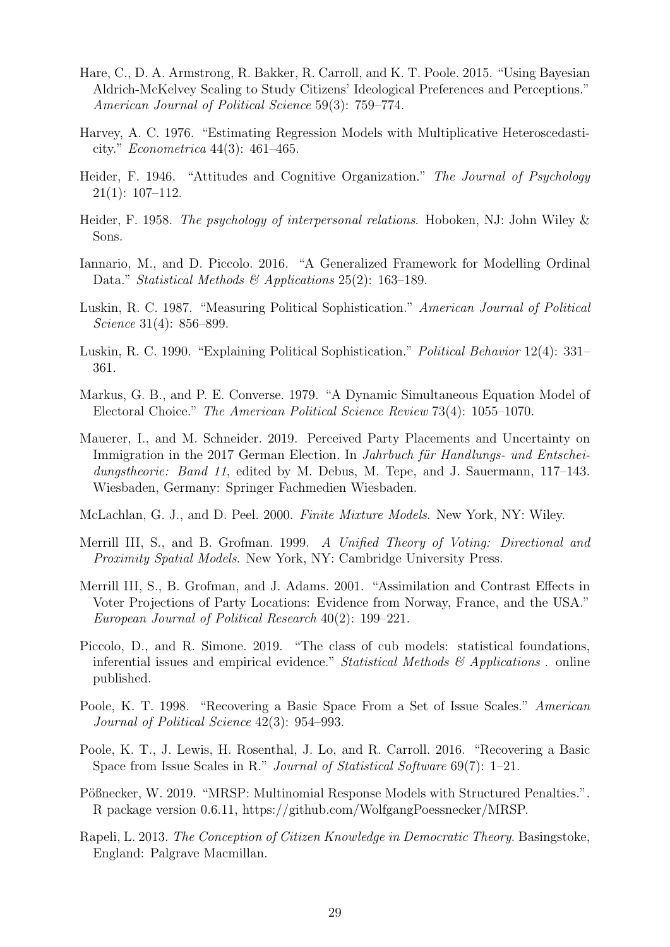- Hare, C., D. A. Armstrong, R. Bakker, R. Carroll, and K. T. Poole. 2015. "Using Bayesian Aldrich-McKelvey Scaling to Study Citizens' Ideological Preferences and Perceptions." American Journal of Political Science 59(3): 759–774.
- Harvey, A. C. 1976. "Estimating Regression Models with Multiplicative Heteroscedasticity." Econometrica 44(3): 461–465.
- Heider, F. 1946. "Attitudes and Cognitive Organization." The Journal of Psychology 21(1): 107–112.
- Heider, F. 1958. The psychology of interpersonal relations. Hoboken, NJ: John Wiley & Sons.
- Iannario, M., and D. Piccolo. 2016. "A Generalized Framework for Modelling Ordinal Data." Statistical Methods & Applications 25(2): 163-189.
- Luskin, R. C. 1987. "Measuring Political Sophistication." American Journal of Political Science 31(4): 856–899.
- Luskin, R. C. 1990. "Explaining Political Sophistication." Political Behavior 12(4): 331– 361.
- Markus, G. B., and P. E. Converse. 1979. "A Dynamic Simultaneous Equation Model of Electoral Choice." The American Political Science Review 73(4): 1055–1070.
- Mauerer, I., and M. Schneider. 2019. Perceived Party Placements and Uncertainty on Immigration in the 2017 German Election. In Jahrbuch für Handlungs- und Entscheidungstheorie: Band 11, edited by M. Debus, M. Tepe, and J. Sauermann, 117–143. Wiesbaden, Germany: Springer Fachmedien Wiesbaden.
- McLachlan, G. J., and D. Peel. 2000. Finite Mixture Models. New York, NY: Wiley.
- Merrill III, S., and B. Grofman. 1999. A Unified Theory of Voting: Directional and Proximity Spatial Models. New York, NY: Cambridge University Press.
- Merrill III, S., B. Grofman, and J. Adams. 2001. "Assimilation and Contrast Effects in Voter Projections of Party Locations: Evidence from Norway, France, and the USA." European Journal of Political Research 40(2): 199–221.
- Piccolo, D., and R. Simone. 2019. "The class of cub models: statistical foundations, inferential issues and empirical evidence." Statistical Methods  $\mathcal{B}'$  Applications . online published.
- Poole, K. T. 1998. "Recovering a Basic Space From a Set of Issue Scales." American Journal of Political Science 42(3): 954–993.
- Poole, K. T., J. Lewis, H. Rosenthal, J. Lo, and R. Carroll. 2016. "Recovering a Basic Space from Issue Scales in R." Journal of Statistical Software 69(7): 1–21.
- Pößnecker, W. 2019. "MRSP: Multinomial Response Models with Structured Penalties.". R package version 0.6.11, https://github.com/WolfgangPoessnecker/MRSP.
- Rapeli, L. 2013. The Conception of Citizen Knowledge in Democratic Theory. Basingstoke, England: Palgrave Macmillan.